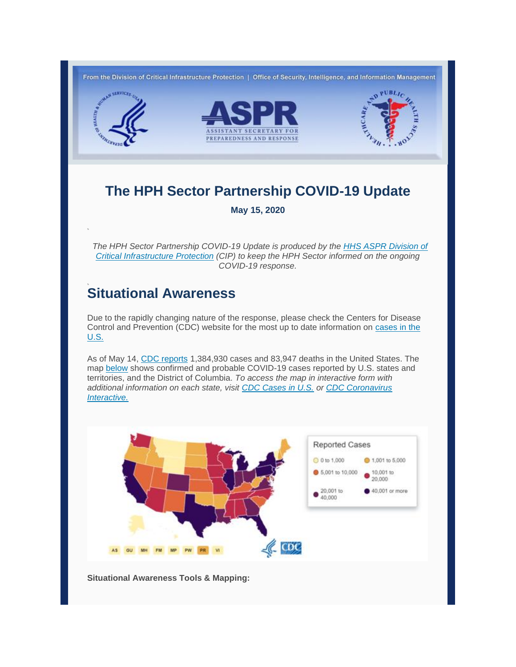

# **The HPH Sector Partnership COVID-19 Update**

**May 15, 2020**

 *The HPH Sector Partnership COVID-19 Update is produced by the [HHS ASPR Division of](https://lnks.gd/l/eyJhbGciOiJIUzI1NiJ9.eyJidWxsZXRpbl9saW5rX2lkIjoxMDAsInVyaSI6ImJwMjpjbGljayIsImJ1bGxldGluX2lkIjoiMjAyMDA1MTUuMjE1ODY2NjEiLCJ1cmwiOiJodHRwczovL3Byb3RlY3QyLmZpcmVleWUuY29tL3VybD9rPWJjNWFiY2EzLWUwMGVhNWRmLWJjNWE4ZDljLTBjYzQ3YWRjNWZhMi0xYjA5YmJkNDgwNzFjNDNkJnU9aHR0cHM6Ly9wcm90ZWN0Mi5maXJlZXllLmNvbS91cmw_az03NTEzZTNhMC0yOTQ2ZWE3MC03NTEzZDI5Zi0wY2M0N2E2YTUyZGUtMzY1OTdlNjUwOGY2YTdlYSZ1PWh0dHA6Ly9waGUuZ292L2NpcCJ9.PNLn28-8gwcWzA9J3pJwCuUtsjVFoc_PtTgq5gNeF1Y/br/78722500727-l)  [Critical Infrastructure Protection](https://lnks.gd/l/eyJhbGciOiJIUzI1NiJ9.eyJidWxsZXRpbl9saW5rX2lkIjoxMDAsInVyaSI6ImJwMjpjbGljayIsImJ1bGxldGluX2lkIjoiMjAyMDA1MTUuMjE1ODY2NjEiLCJ1cmwiOiJodHRwczovL3Byb3RlY3QyLmZpcmVleWUuY29tL3VybD9rPWJjNWFiY2EzLWUwMGVhNWRmLWJjNWE4ZDljLTBjYzQ3YWRjNWZhMi0xYjA5YmJkNDgwNzFjNDNkJnU9aHR0cHM6Ly9wcm90ZWN0Mi5maXJlZXllLmNvbS91cmw_az03NTEzZTNhMC0yOTQ2ZWE3MC03NTEzZDI5Zi0wY2M0N2E2YTUyZGUtMzY1OTdlNjUwOGY2YTdlYSZ1PWh0dHA6Ly9waGUuZ292L2NpcCJ9.PNLn28-8gwcWzA9J3pJwCuUtsjVFoc_PtTgq5gNeF1Y/br/78722500727-l) (CIP) to keep the HPH Sector informed on the ongoing COVID-19 response.*

# **Situational Awareness**

Due to the rapidly changing nature of the response, please check the Centers for Disease Control and Prevention (CDC) website for the most up to date information on [cases in the](https://lnks.gd/l/eyJhbGciOiJIUzI1NiJ9.eyJidWxsZXRpbl9saW5rX2lkIjoxMDEsInVyaSI6ImJwMjpjbGljayIsImJ1bGxldGluX2lkIjoiMjAyMDA1MTUuMjE1ODY2NjEiLCJ1cmwiOiJodHRwczovL3d3dy5jZGMuZ292L2Nvcm9uYXZpcnVzLzIwMTktbmNvdi9jYXNlcy11cGRhdGVzL2Nhc2VzLWluLXVzLmh0bWw_Q0RDX0FBX3JlZlZhbD1odHRwcyUzQSUyRiUyRnd3dy5jZGMuZ292JTJGY29yb25hdmlydXMlMkYyMDE5LW5jb3YlMkZjYXNlcy1pbi11cy5odG1sIn0.eEPGgdLuEfDRZ549NROpwp-0bG5JZgU8OO4U0TfjjpQ/br/78722500727-l)  [U.S.](https://lnks.gd/l/eyJhbGciOiJIUzI1NiJ9.eyJidWxsZXRpbl9saW5rX2lkIjoxMDEsInVyaSI6ImJwMjpjbGljayIsImJ1bGxldGluX2lkIjoiMjAyMDA1MTUuMjE1ODY2NjEiLCJ1cmwiOiJodHRwczovL3d3dy5jZGMuZ292L2Nvcm9uYXZpcnVzLzIwMTktbmNvdi9jYXNlcy11cGRhdGVzL2Nhc2VzLWluLXVzLmh0bWw_Q0RDX0FBX3JlZlZhbD1odHRwcyUzQSUyRiUyRnd3dy5jZGMuZ292JTJGY29yb25hdmlydXMlMkYyMDE5LW5jb3YlMkZjYXNlcy1pbi11cy5odG1sIn0.eEPGgdLuEfDRZ549NROpwp-0bG5JZgU8OO4U0TfjjpQ/br/78722500727-l)

As of May 14, [CDC reports](https://lnks.gd/l/eyJhbGciOiJIUzI1NiJ9.eyJidWxsZXRpbl9saW5rX2lkIjoxMDIsInVyaSI6ImJwMjpjbGljayIsImJ1bGxldGluX2lkIjoiMjAyMDA1MTUuMjE1ODY2NjEiLCJ1cmwiOiJodHRwczovL3d3dy5jZGMuZ292L2Nvcm9uYXZpcnVzLzIwMTktbmNvdi9jYXNlcy11cGRhdGVzL2Nhc2VzLWluLXVzLmh0bWw_Q0RDX0FBX3JlZlZhbD1odHRwcyUzQSUyRiUyRnd3dy5jZGMuZ292JTJGY29yb25hdmlydXMlMkYyMDE5LW5jb3YlMkZjYXNlcy1pbi11cy5odG1sIn0.3dX2LA2ousKmp7srT_2q-vsl5A4eJoT_K_cScH4OR5o/br/78722500727-l) 1,384,930 cases and 83,947 deaths in the United States. The map [below](https://lnks.gd/l/eyJhbGciOiJIUzI1NiJ9.eyJidWxsZXRpbl9saW5rX2lkIjoxMDMsInVyaSI6ImJwMjpjbGljayIsImJ1bGxldGluX2lkIjoiMjAyMDA1MTUuMjE1ODY2NjEiLCJ1cmwiOiJodHRwczovL3d3dy5jZGMuZ292L2Nvcm9uYXZpcnVzLzIwMTktbmNvdi9jYXNlcy11cGRhdGVzL2Nhc2VzLWluLXVzLmh0bWw_Q0RDX0FBX3JlZlZhbD1odHRwcyUzQSUyRiUyRnd3dy5jZGMuZ292JTJGY29yb25hdmlydXMlMkYyMDE5LW5jb3YlMkZjYXNlcy1pbi11cy5odG1sIn0.n7q2Emv-vwneCOZBNbrIvLkpYWPKaJSmV48svU-p7Z8/br/78722500727-l) shows confirmed and probable COVID-19 cases reported by U.S. states and territories, and the District of Columbia. *To access the map in interactive form with additional information on each state, visit [CDC Cases in U.S.](https://lnks.gd/l/eyJhbGciOiJIUzI1NiJ9.eyJidWxsZXRpbl9saW5rX2lkIjoxMDQsInVyaSI6ImJwMjpjbGljayIsImJ1bGxldGluX2lkIjoiMjAyMDA1MTUuMjE1ODY2NjEiLCJ1cmwiOiJodHRwczovL3d3dy5jZGMuZ292L2Nvcm9uYXZpcnVzLzIwMTktbmNvdi9jYXNlcy11cGRhdGVzL2Nhc2VzLWluLXVzLmh0bWw_Q0RDX0FBX3JlZlZhbD1odHRwcyUzQSUyRiUyRnd3dy5jZGMuZ292JTJGY29yb25hdmlydXMlMkYyMDE5LW5jb3YlMkZjYXNlcy1pbi11cy5odG1sIn0.exOSOcDuotoCOM2bCH2mgpg5cThT3_IhbBeZw63Gyj0/br/78722500727-l) or [CDC Coronavirus](https://lnks.gd/l/eyJhbGciOiJIUzI1NiJ9.eyJidWxsZXRpbl9saW5rX2lkIjoxMDUsInVyaSI6ImJwMjpjbGljayIsImJ1bGxldGluX2lkIjoiMjAyMDA1MTUuMjE1ODY2NjEiLCJ1cmwiOiJodHRwczovL3d3dy5jZGMuZ292L2Nvcm9uYXZpcnVzLWludGVyYWN0aXZlL2luZGV4Lmh0bWwifQ.3HDz0wuOLB6pDFMZg_RHpf-6qamvibyApi-dL0vsdro/br/78722500727-l)  [Interactive.](https://lnks.gd/l/eyJhbGciOiJIUzI1NiJ9.eyJidWxsZXRpbl9saW5rX2lkIjoxMDUsInVyaSI6ImJwMjpjbGljayIsImJ1bGxldGluX2lkIjoiMjAyMDA1MTUuMjE1ODY2NjEiLCJ1cmwiOiJodHRwczovL3d3dy5jZGMuZ292L2Nvcm9uYXZpcnVzLWludGVyYWN0aXZlL2luZGV4Lmh0bWwifQ.3HDz0wuOLB6pDFMZg_RHpf-6qamvibyApi-dL0vsdro/br/78722500727-l)*



**Situational Awareness Tools & Mapping:**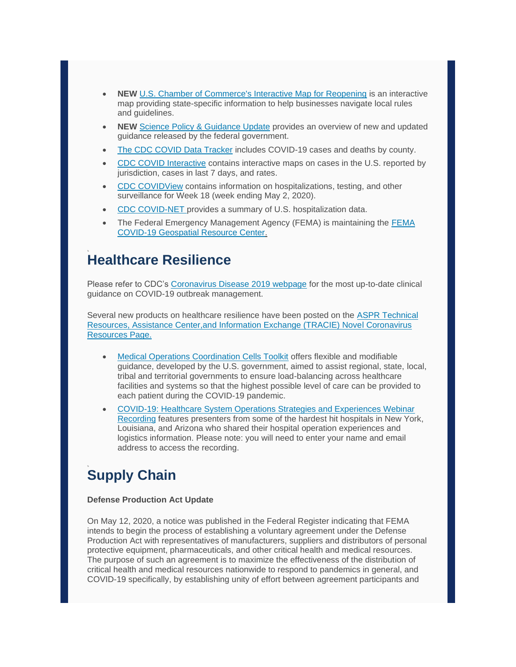- **NEW** [U.S. Chamber of Commerce's Interactive Map for Reopening](https://lnks.gd/l/eyJhbGciOiJIUzI1NiJ9.eyJidWxsZXRpbl9saW5rX2lkIjoxMDYsInVyaSI6ImJwMjpjbGljayIsImJ1bGxldGluX2lkIjoiMjAyMDA1MTUuMjE1ODY2NjEiLCJ1cmwiOiJodHRwczovL3d3dy51c2NoYW1iZXIuY29tL2FydGljbGUvc3RhdGUtYnktc3RhdGUtYnVzaW5lc3MtcmVvcGVuaW5nLWd1aWRhbmNlIn0.nPQobGq6WTVHI48EfPkEMpCBl-28jjmnWNrhUzcspZg/br/78722500727-l) is an interactive map providing state-specific information to help businesses navigate local rules and guidelines.
- **NEW** [Science Policy & Guidance Update](https://lnks.gd/l/eyJhbGciOiJIUzI1NiJ9.eyJidWxsZXRpbl9saW5rX2lkIjoxMDcsInVyaSI6ImJwMjpjbGljayIsImJ1bGxldGluX2lkIjoiMjAyMDA1MTUuMjE1ODY2NjEiLCJ1cmwiOiJodHRwczovL2NvbnRlbnQuZ292ZGVsaXZlcnkuY29tL2F0dGFjaG1lbnRzL1VTREhTQ0lLUi8yMDIwLzA1LzE1L2ZpbGVfYXR0YWNobWVudHMvMTQ1MjA5MC8wNTE0MjAyMF9HdWlkYW5jZVVwZGF0ZS5wZGYifQ.5w3xl8Lg29_HH1FaiIq2fQZP87wFTj1XTsfWEOiQOR0/br/78722500727-l) provides an overview of new and updated guidance released by the federal government.
- [The CDC COVID Data Tracker](https://lnks.gd/l/eyJhbGciOiJIUzI1NiJ9.eyJidWxsZXRpbl9saW5rX2lkIjoxMDgsInVyaSI6ImJwMjpjbGljayIsImJ1bGxldGluX2lkIjoiMjAyMDA1MTUuMjE1ODY2NjEiLCJ1cmwiOiJodHRwczovL3d3dy5jZGMuZ292L2Nvcm9uYXZpcnVzLzIwMTktbmNvdi9jYXNlcy11cGRhdGVzL2Nhc2VzLWluLXVzLmh0bWw_Q0RDX0FBX3JlZlZhbD1odHRwcyUzQSUyRiUyRnd3dy5jZGMuZ292JTJGY29yb25hdmlydXMlMkYyMDE5LW5jb3YlMkZjYXNlcy1pbi11cy5odG1sIn0.blFsP3VGkTJcERJg7DvSCEM8jEKoElEDAhONBrHncus/br/78722500727-l) includes COVID-19 cases and deaths by county.
- [CDC COVID Interactive](https://lnks.gd/l/eyJhbGciOiJIUzI1NiJ9.eyJidWxsZXRpbl9saW5rX2lkIjoxMDksInVyaSI6ImJwMjpjbGljayIsImJ1bGxldGluX2lkIjoiMjAyMDA1MTUuMjE1ODY2NjEiLCJ1cmwiOiJodHRwczovL3d3dy5jZGMuZ292L2Nvcm9uYXZpcnVzLWludGVyYWN0aXZlL2luZGV4Lmh0bWwifQ.I96mmxUqHkwNvY74V-SaR_Qsfr_toiVb1PsgUAa5Ux8/br/78722500727-l) contains interactive maps on cases in the U.S. reported by jurisdiction, cases in last 7 days, and rates.
- [CDC COVIDView](https://lnks.gd/l/eyJhbGciOiJIUzI1NiJ9.eyJidWxsZXRpbl9saW5rX2lkIjoxMTAsInVyaSI6ImJwMjpjbGljayIsImJ1bGxldGluX2lkIjoiMjAyMDA1MTUuMjE1ODY2NjEiLCJ1cmwiOiJodHRwczovL3d3dy5jZGMuZ292L2Nvcm9uYXZpcnVzLzIwMTktbmNvdi9jb3ZpZC1kYXRhL2Nvdmlkdmlldy9pbmRleC5odG1sIn0.UR3pD7ySn6vtsTdqUEkO1LdKIiYQpS9hrqOQhWQGcqU/br/78722500727-l) contains information on hospitalizations, testing, and other surveillance for Week 18 (week ending May 2, 2020).
- [CDC COVID-NET p](https://lnks.gd/l/eyJhbGciOiJIUzI1NiJ9.eyJidWxsZXRpbl9saW5rX2lkIjoxMTEsInVyaSI6ImJwMjpjbGljayIsImJ1bGxldGluX2lkIjoiMjAyMDA1MTUuMjE1ODY2NjEiLCJ1cmwiOiJodHRwczovL2dpcy5jZGMuZ292L2dyYXNwL0NPVklETmV0L0NPVklEMTlfMy5odG1sIn0.HpD6bJeW40KT5hPrHrN1ZsVkNyjn01ACUsry9cVO_G0/br/78722500727-l)rovides a summary of U.S. hospitalization data.
- The Federal Emergency Management Agency (FEMA) is maintaining the [FEMA](https://lnks.gd/l/eyJhbGciOiJIUzI1NiJ9.eyJidWxsZXRpbl9saW5rX2lkIjoxMTIsInVyaSI6ImJwMjpjbGljayIsImJ1bGxldGluX2lkIjoiMjAyMDA1MTUuMjE1ODY2NjEiLCJ1cmwiOiJodHRwczovL2NvdmlkLTE5LWZlbWEuaHViLmFyY2dpcy5jb20vIn0.bQJedykQX7aQXitvqkDT2hRhUORzoHBzNpGD44X5CDU/br/78722500727-l)  [COVID-19 Geospatial Resource Center.](https://lnks.gd/l/eyJhbGciOiJIUzI1NiJ9.eyJidWxsZXRpbl9saW5rX2lkIjoxMTIsInVyaSI6ImJwMjpjbGljayIsImJ1bGxldGluX2lkIjoiMjAyMDA1MTUuMjE1ODY2NjEiLCJ1cmwiOiJodHRwczovL2NvdmlkLTE5LWZlbWEuaHViLmFyY2dpcy5jb20vIn0.bQJedykQX7aQXitvqkDT2hRhUORzoHBzNpGD44X5CDU/br/78722500727-l)

### **Healthcare Resilience**

Please refer to CDC's [Coronavirus Disease 2019 webpage](https://lnks.gd/l/eyJhbGciOiJIUzI1NiJ9.eyJidWxsZXRpbl9saW5rX2lkIjoxMTMsInVyaSI6ImJwMjpjbGljayIsImJ1bGxldGluX2lkIjoiMjAyMDA1MTUuMjE1ODY2NjEiLCJ1cmwiOiJodHRwczovL3d3dy5jZGMuZ292L2Nvcm9uYXZpcnVzLzIwMTktbmNvdi9pbmRleC5odG1sIn0.LZe2Eq-5HcKsQQv5Sn2cVNsoCiYze83rGJmKw87xKbQ/br/78722500727-l) for the most up-to-date clinical guidance on COVID-19 outbreak management.

Several new products on healthcare resilience have been posted on the ASPR [Technical](https://lnks.gd/l/eyJhbGciOiJIUzI1NiJ9.eyJidWxsZXRpbl9saW5rX2lkIjoxMTQsInVyaSI6ImJwMjpjbGljayIsImJ1bGxldGluX2lkIjoiMjAyMDA1MTUuMjE1ODY2NjEiLCJ1cmwiOiJodHRwczovL2FzcHJ0cmFjaWUuaGhzLmdvdi9DT1ZJRC0xOSJ9.oXghnOeXJT7h05w4AoLxs-NLA4gr0uGGtaZYrDTREJI/br/78722500727-l)  [Resources, Assistance Center,and Information Exchange \(TRACIE\) Novel Coronavirus](https://lnks.gd/l/eyJhbGciOiJIUzI1NiJ9.eyJidWxsZXRpbl9saW5rX2lkIjoxMTQsInVyaSI6ImJwMjpjbGljayIsImJ1bGxldGluX2lkIjoiMjAyMDA1MTUuMjE1ODY2NjEiLCJ1cmwiOiJodHRwczovL2FzcHJ0cmFjaWUuaGhzLmdvdi9DT1ZJRC0xOSJ9.oXghnOeXJT7h05w4AoLxs-NLA4gr0uGGtaZYrDTREJI/br/78722500727-l)  [Resources Page.](https://lnks.gd/l/eyJhbGciOiJIUzI1NiJ9.eyJidWxsZXRpbl9saW5rX2lkIjoxMTQsInVyaSI6ImJwMjpjbGljayIsImJ1bGxldGluX2lkIjoiMjAyMDA1MTUuMjE1ODY2NjEiLCJ1cmwiOiJodHRwczovL2FzcHJ0cmFjaWUuaGhzLmdvdi9DT1ZJRC0xOSJ9.oXghnOeXJT7h05w4AoLxs-NLA4gr0uGGtaZYrDTREJI/br/78722500727-l)

- **[Medical Operations Coordination Cells Toolkit](https://lnks.gd/l/eyJhbGciOiJIUzI1NiJ9.eyJidWxsZXRpbl9saW5rX2lkIjoxMTUsInVyaSI6ImJwMjpjbGljayIsImJ1bGxldGluX2lkIjoiMjAyMDA1MTUuMjE1ODY2NjEiLCJ1cmwiOiJodHRwczovL2ZpbGVzLmFzcHJ0cmFjaWUuaGhzLmdvdi9kb2N1bWVudHMvZmVtYS1tb2NjLXRvb2xraXQucGRmIn0.Xlwtdch1zwmH5SEw8R6yq-IoeOS7ue9QaRIa_NF-RLk/br/78722500727-l) offers flexible and modifiable** guidance, developed by the U.S. government, aimed to assist regional, state, local, tribal and territorial governments to ensure load-balancing across healthcare facilities and systems so that the highest possible level of care can be provided to each patient during the COVID-19 pandemic.
- [COVID-19: Healthcare System Operations Strategies and Experiences Webinar](https://lnks.gd/l/eyJhbGciOiJIUzI1NiJ9.eyJidWxsZXRpbl9saW5rX2lkIjoxMTYsInVyaSI6ImJwMjpjbGljayIsImJ1bGxldGluX2lkIjoiMjAyMDA1MTUuMjE1ODY2NjEiLCJ1cmwiOiJodHRwczovL2ZpbGVzLmFzcHJ0cmFjaWUuaGhzLmdvdi9kb2N1bWVudHMvY292aWQtMTktaGVhbHRoY2FyZS1zeXN0ZW0tb3BlcmF0aW9ucy13ZWJpbmFyLXBwdC1maW5hbC5wZGYifQ.i2fk3w-2-DQSVJrXLbGvJeOcwVS6jnwKrlPJcq0LUhY/br/78722500727-l)  [Recording](https://lnks.gd/l/eyJhbGciOiJIUzI1NiJ9.eyJidWxsZXRpbl9saW5rX2lkIjoxMTYsInVyaSI6ImJwMjpjbGljayIsImJ1bGxldGluX2lkIjoiMjAyMDA1MTUuMjE1ODY2NjEiLCJ1cmwiOiJodHRwczovL2ZpbGVzLmFzcHJ0cmFjaWUuaGhzLmdvdi9kb2N1bWVudHMvY292aWQtMTktaGVhbHRoY2FyZS1zeXN0ZW0tb3BlcmF0aW9ucy13ZWJpbmFyLXBwdC1maW5hbC5wZGYifQ.i2fk3w-2-DQSVJrXLbGvJeOcwVS6jnwKrlPJcq0LUhY/br/78722500727-l) features presenters from some of the hardest hit hospitals in New York, Louisiana, and Arizona who shared their hospital operation experiences and logistics information. Please note: you will need to enter your name and email address to access the recording.

# **Supply Chain**

### **Defense Production Act Update**

On May 12, 2020, a notice was published in the Federal Register indicating that FEMA intends to begin the process of establishing a voluntary agreement under the Defense Production Act with representatives of manufacturers, suppliers and distributors of personal protective equipment, pharmaceuticals, and other critical health and medical resources. The purpose of such an agreement is to maximize the effectiveness of the distribution of critical health and medical resources nationwide to respond to pandemics in general, and COVID-19 specifically, by establishing unity of effort between agreement participants and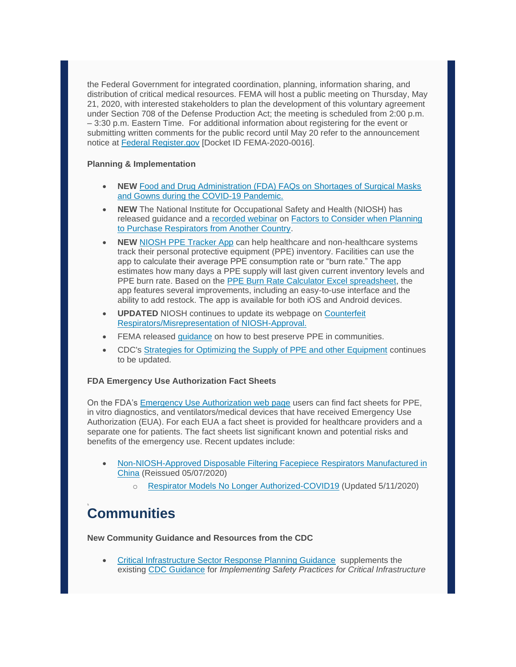the Federal Government for integrated coordination, planning, information sharing, and distribution of critical medical resources. FEMA will host a public meeting on Thursday, May 21, 2020, with interested stakeholders to plan the development of this voluntary agreement under Section 708 of the Defense Production Act; the meeting is scheduled from 2:00 p.m. – 3:30 p.m. Eastern Time. For additional information about registering for the event or submitting written comments for the public record until May 20 refer to the announcement notice at [Federal Register.gov](https://lnks.gd/l/eyJhbGciOiJIUzI1NiJ9.eyJidWxsZXRpbl9saW5rX2lkIjoxMTcsInVyaSI6ImJwMjpjbGljayIsImJ1bGxldGluX2lkIjoiMjAyMDA1MTUuMjE1ODY2NjEiLCJ1cmwiOiJodHRwczovL3d3dy5mZWRlcmFscmVnaXN0ZXIuZ292L2RvY3VtZW50cy8yMDIwLzA1LzEyLzIwMjAtMTAyMjEvbWVldGluZy10by1kZXZlbG9wLXBhbmRlbWljLXJlc3BvbnNlLXZvbHVudGFyeS1hZ3JlZW1lbnQifQ.lyyhxMq-4l9NZLHDJwvQjXnR9rbpA1WoQRhlGBsfA6k/br/78722500727-l) [Docket ID FEMA-2020-0016].

### **Planning & Implementation**

- **NEW** [Food and Drug Administration \(FDA\) FAQs on Shortages of Surgical Masks](https://lnks.gd/l/eyJhbGciOiJIUzI1NiJ9.eyJidWxsZXRpbl9saW5rX2lkIjoxMTgsInVyaSI6ImJwMjpjbGljayIsImJ1bGxldGluX2lkIjoiMjAyMDA1MTUuMjE1ODY2NjEiLCJ1cmwiOiJodHRwczovL3d3dy5mZGEuZ292L21lZGljYWwtZGV2aWNlcy9wZXJzb25hbC1wcm90ZWN0aXZlLWVxdWlwbWVudC1pbmZlY3Rpb24tY29udHJvbC9mYXFzLXNob3J0YWdlcy1zdXJnaWNhbC1tYXNrcy1hbmQtZ293bnMtZHVyaW5nLWNvdmlkLTE5LXBhbmRlbWljIn0.hGx3yTmUrITPYez2PCiOZ8wzuR7NGtYr5_D1YVBidpw/br/78722500727-l)  [and Gowns during the COVID-19 Pandemic.](https://lnks.gd/l/eyJhbGciOiJIUzI1NiJ9.eyJidWxsZXRpbl9saW5rX2lkIjoxMTgsInVyaSI6ImJwMjpjbGljayIsImJ1bGxldGluX2lkIjoiMjAyMDA1MTUuMjE1ODY2NjEiLCJ1cmwiOiJodHRwczovL3d3dy5mZGEuZ292L21lZGljYWwtZGV2aWNlcy9wZXJzb25hbC1wcm90ZWN0aXZlLWVxdWlwbWVudC1pbmZlY3Rpb24tY29udHJvbC9mYXFzLXNob3J0YWdlcy1zdXJnaWNhbC1tYXNrcy1hbmQtZ293bnMtZHVyaW5nLWNvdmlkLTE5LXBhbmRlbWljIn0.hGx3yTmUrITPYez2PCiOZ8wzuR7NGtYr5_D1YVBidpw/br/78722500727-l)
- **NEW** The National Institute for Occupational Safety and Health (NIOSH) has released guidance and a [recorded webinar](https://lnks.gd/l/eyJhbGciOiJIUzI1NiJ9.eyJidWxsZXRpbl9saW5rX2lkIjoxMTksInVyaSI6ImJwMjpjbGljayIsImJ1bGxldGluX2lkIjoiMjAyMDA1MTUuMjE1ODY2NjEiLCJ1cmwiOiJodHRwczovL3d3dy55b3V0dWJlLmNvbS93YXRjaD92PXc3dFZuanJtQW1jIn0.WR1Mlhxpq8lb8R_RNyO88pXBhqzrgN4n43txCJ05P34/br/78722500727-l) on [Factors to Consider when Planning](https://lnks.gd/l/eyJhbGciOiJIUzI1NiJ9.eyJidWxsZXRpbl9saW5rX2lkIjoxMjAsInVyaSI6ImJwMjpjbGljayIsImJ1bGxldGluX2lkIjoiMjAyMDA1MTUuMjE1ODY2NjEiLCJ1cmwiOiJodHRwczovL3QuZW1haWx1cGRhdGVzLmNkYy5nb3Yvci8_aWQ9aDE3NWZhNDg1LDExNWM1MGE4LDExNWM1MGE3In0.HG1y5cuejE_8DgMFZTv7jf1y6B2YtyxSFzfvgLb67ZM/br/78722500727-l)  [to Purchase Respirators from Another Country.](https://lnks.gd/l/eyJhbGciOiJIUzI1NiJ9.eyJidWxsZXRpbl9saW5rX2lkIjoxMjAsInVyaSI6ImJwMjpjbGljayIsImJ1bGxldGluX2lkIjoiMjAyMDA1MTUuMjE1ODY2NjEiLCJ1cmwiOiJodHRwczovL3QuZW1haWx1cGRhdGVzLmNkYy5nb3Yvci8_aWQ9aDE3NWZhNDg1LDExNWM1MGE4LDExNWM1MGE3In0.HG1y5cuejE_8DgMFZTv7jf1y6B2YtyxSFzfvgLb67ZM/br/78722500727-l)
- **NEW** [NIOSH PPE Tracker App](https://lnks.gd/l/eyJhbGciOiJIUzI1NiJ9.eyJidWxsZXRpbl9saW5rX2lkIjoxMjEsInVyaSI6ImJwMjpjbGljayIsImJ1bGxldGluX2lkIjoiMjAyMDA1MTUuMjE1ODY2NjEiLCJ1cmwiOiJodHRwczovL3d3dy5jZGMuZ292L25pb3NoL3BwZS9wcGVhcHAuaHRtbCJ9.wRT-G9RueGJ_4xRlknwskDH9T4zxCSk2X_6_HMkCpaQ/br/78722500727-l) can help healthcare and non-healthcare systems track their personal protective equipment (PPE) inventory. Facilities can use the app to calculate their average PPE consumption rate or "burn rate." The app estimates how many days a PPE supply will last given current inventory levels and PPE burn rate. Based on the [PPE Burn Rate Calculator Excel spreadsheet,](https://lnks.gd/l/eyJhbGciOiJIUzI1NiJ9.eyJidWxsZXRpbl9saW5rX2lkIjoxMjIsInVyaSI6ImJwMjpjbGljayIsImJ1bGxldGluX2lkIjoiMjAyMDA1MTUuMjE1ODY2NjEiLCJ1cmwiOiJodHRwczovL3d3dy5jZGMuZ292L2Nvcm9uYXZpcnVzLzIwMTktbmNvdi9oY3AvcHBlLXN0cmF0ZWd5L2J1cm4tY2FsY3VsYXRvci5odG1sIn0.mpEpqjn_cUJqY5Bb5ZrvZSuFo_To67vp4EzVHP7cPFk/br/78722500727-l) the app features several improvements, including an easy-to-use interface and the ability to add restock. The app is available for both iOS and Android devices.
- **UPDATED** NIOSH continues to update its webpage on [Counterfeit](https://lnks.gd/l/eyJhbGciOiJIUzI1NiJ9.eyJidWxsZXRpbl9saW5rX2lkIjoxMjMsInVyaSI6ImJwMjpjbGljayIsImJ1bGxldGluX2lkIjoiMjAyMDA1MTUuMjE1ODY2NjEiLCJ1cmwiOiJodHRwczovL3d3dy5jZGMuZ292L25pb3NoL25wcHRsL3VzZXJub3RpY2VzL2NvdW50ZXJmZWl0UmVzcC5odG1sIn0.2yaYxVTNRHB1lcfUadov6uyv4wclzsMvUIZyG2WRK9E/br/78722500727-l)  [Respirators/Misrepresentation of NIOSH-Approval.](https://lnks.gd/l/eyJhbGciOiJIUzI1NiJ9.eyJidWxsZXRpbl9saW5rX2lkIjoxMjMsInVyaSI6ImJwMjpjbGljayIsImJ1bGxldGluX2lkIjoiMjAyMDA1MTUuMjE1ODY2NjEiLCJ1cmwiOiJodHRwczovL3d3dy5jZGMuZ292L25pb3NoL25wcHRsL3VzZXJub3RpY2VzL2NvdW50ZXJmZWl0UmVzcC5odG1sIn0.2yaYxVTNRHB1lcfUadov6uyv4wclzsMvUIZyG2WRK9E/br/78722500727-l)
- FEMA released [guidance](https://lnks.gd/l/eyJhbGciOiJIUzI1NiJ9.eyJidWxsZXRpbl9saW5rX2lkIjoxMjQsInVyaSI6ImJwMjpjbGljayIsImJ1bGxldGluX2lkIjoiMjAyMDA1MTUuMjE1ODY2NjEiLCJ1cmwiOiJodHRwczovL3d3dy5mZW1hLmdvdi9tZWRpYS1saWJyYXJ5LWRhdGEvMTU4NzEzMTUxOTAzMS02NTAxZWU4YTBjZTcyMDA0ODMyZmEzNzE0MWM1M2JjMC9QUEVfRkFDVFNIRUVULnBkZiJ9.0LytdpniOFAahkOf97YAIndxNGDGbOrxjsaHbG7k0Ss/br/78722500727-l) on how to best preserve PPE in communities.
- CDC's [Strategies for Optimizing the Supply of PPE and other Equipment](https://lnks.gd/l/eyJhbGciOiJIUzI1NiJ9.eyJidWxsZXRpbl9saW5rX2lkIjoxMjUsInVyaSI6ImJwMjpjbGljayIsImJ1bGxldGluX2lkIjoiMjAyMDA1MTUuMjE1ODY2NjEiLCJ1cmwiOiJodHRwczovL3d3dy5jZGMuZ292L2Nvcm9uYXZpcnVzLzIwMTktbmNvdi9oY3AvcHBlLXN0cmF0ZWd5L2luZGV4Lmh0bWwifQ.gk4pokOjbEdFjg1r13uedQOHAVZ7pkAG67g8EnnO7A4/br/78722500727-l) continues to be updated.

#### **FDA Emergency Use Authorization Fact Sheets**

On the FDA's [Emergency Use Authorization web page](https://lnks.gd/l/eyJhbGciOiJIUzI1NiJ9.eyJidWxsZXRpbl9saW5rX2lkIjoxMjYsInVyaSI6ImJwMjpjbGljayIsImJ1bGxldGluX2lkIjoiMjAyMDA1MTUuMjE1ODY2NjEiLCJ1cmwiOiJodHRwczovL3d3dy5mZGEuZ292L21lZGljYWwtZGV2aWNlcy9lbWVyZ2VuY3ktc2l0dWF0aW9ucy1tZWRpY2FsLWRldmljZXMvZW1lcmdlbmN5LXVzZS1hdXRob3JpemF0aW9ucyJ9.volShdIw-qUfDlIeVlhWl_nlULxitNth7VJ7AQmKtQQ/br/78722500727-l) users can find fact sheets for PPE, in vitro diagnostics, and ventilators/medical devices that have received Emergency Use Authorization (EUA). For each EUA a fact sheet is provided for healthcare providers and a separate one for patients. The fact sheets list significant known and potential risks and benefits of the emergency use. Recent updates include:

- [Non-NIOSH-Approved Disposable Filtering Facepiece](https://lnks.gd/l/eyJhbGciOiJIUzI1NiJ9.eyJidWxsZXRpbl9saW5rX2lkIjoxMjcsInVyaSI6ImJwMjpjbGljayIsImJ1bGxldGluX2lkIjoiMjAyMDA1MTUuMjE1ODY2NjEiLCJ1cmwiOiJodHRwczovL3d3dy5mZGEuZ292L21lZGlhLzEzNjY2NC9kb3dubG9hZCJ9.xsrdtpBi0-n6ZhBaX8T_unnBqDEpjuE5pfI9eV8lukI/br/78722500727-l) Respirators Manufactured in [China](https://lnks.gd/l/eyJhbGciOiJIUzI1NiJ9.eyJidWxsZXRpbl9saW5rX2lkIjoxMjcsInVyaSI6ImJwMjpjbGljayIsImJ1bGxldGluX2lkIjoiMjAyMDA1MTUuMjE1ODY2NjEiLCJ1cmwiOiJodHRwczovL3d3dy5mZGEuZ292L21lZGlhLzEzNjY2NC9kb3dubG9hZCJ9.xsrdtpBi0-n6ZhBaX8T_unnBqDEpjuE5pfI9eV8lukI/br/78722500727-l) (Reissued 05/07/2020)
	- o [Respirator Models No Longer Authorized-COVID19](https://lnks.gd/l/eyJhbGciOiJIUzI1NiJ9.eyJidWxsZXRpbl9saW5rX2lkIjoxMjgsInVyaSI6ImJwMjpjbGljayIsImJ1bGxldGluX2lkIjoiMjAyMDA1MTUuMjE1ODY2NjEiLCJ1cmwiOiJodHRwczovL3d3dy5mZGEuZ292L21lZGlhLzEzNzkyOC9kb3dubG9hZCJ9.CQFOzNekEC82vdkg79xYzZf3lEgpPVw4smagV6Bg8zY/br/78722500727-l) (Updated 5/11/2020)

# **Communities**

**New Community Guidance and Resources from the CDC**

• [Critical Infrastructure Sector Response Planning Guidance](https://lnks.gd/l/eyJhbGciOiJIUzI1NiJ9.eyJidWxsZXRpbl9saW5rX2lkIjoxMjksInVyaSI6ImJwMjpjbGljayIsImJ1bGxldGluX2lkIjoiMjAyMDA1MTUuMjE1ODY2NjEiLCJ1cmwiOiJodHRwczovL3QuZW1haWx1cGRhdGVzLmNkYy5nb3Yvci8_aWQ9aDE3NWZhNDg1LDExNWM1MGE4LDExNWM1MGEyIn0.Hhy3w6G83N5jk0QyLmaQ9WNcEhAgbM3pSgdqytYeB7A/br/78722500727-l) supplements the existing [CDC Guidance](https://lnks.gd/l/eyJhbGciOiJIUzI1NiJ9.eyJidWxsZXRpbl9saW5rX2lkIjoxMzAsInVyaSI6ImJwMjpjbGljayIsImJ1bGxldGluX2lkIjoiMjAyMDA1MTUuMjE1ODY2NjEiLCJ1cmwiOiJodHRwczovL3QuZW1haWx1cGRhdGVzLmNkYy5nb3Yvci8_aWQ9aDE3NWZhNDg1LDExNWM1MGE4LDExNWM1MGEzIn0.uvMDvrpfQEnwVI5kA0PqAVXtb8rX1OXpdLwAvJMwV-I/br/78722500727-l) for *Implementing Safety Practices for Critical Infrastructure*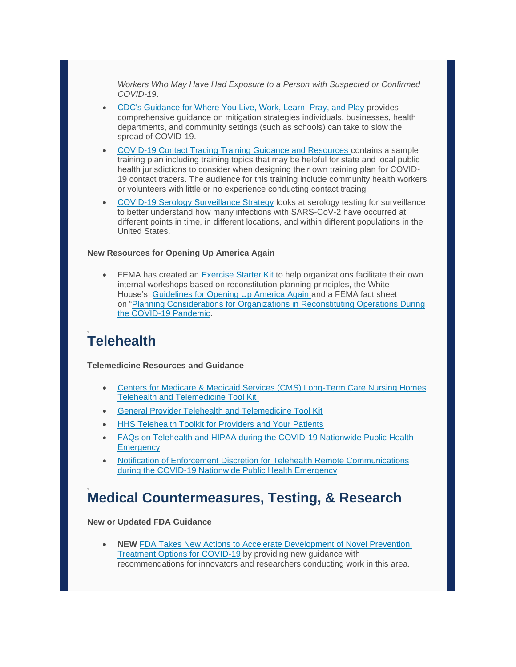*Workers Who May Have Had Exposure to a Person with Suspected or Confirmed COVID-19*.

- CDC's [Guidance for Where You Live, Work, Learn, Pray, and Play](https://lnks.gd/l/eyJhbGciOiJIUzI1NiJ9.eyJidWxsZXRpbl9saW5rX2lkIjoxMzEsInVyaSI6ImJwMjpjbGljayIsImJ1bGxldGluX2lkIjoiMjAyMDA1MTUuMjE1ODY2NjEiLCJ1cmwiOiJodHRwczovL3d3dy5jZGMuZ292L2Nvcm9uYXZpcnVzLzIwMTktbmNvdi9jb21tdW5pdHkvaW5kZXguaHRtbCJ9.CmAcV5bclkypC9pc2w3An1DfrXhPZSmd6EN0_w_GN4Y/br/78722500727-l) provides comprehensive guidance on mitigation strategies individuals, businesses, health departments, and community settings (such as schools) can take to slow the spread of COVID-19.
- [COVID-19 Contact Tracing Training Guidance and Resources](https://lnks.gd/l/eyJhbGciOiJIUzI1NiJ9.eyJidWxsZXRpbl9saW5rX2lkIjoxMzIsInVyaSI6ImJwMjpjbGljayIsImJ1bGxldGluX2lkIjoiMjAyMDA1MTUuMjE1ODY2NjEiLCJ1cmwiOiJodHRwczovL3d3dy5jZGMuZ292L2Nvcm9uYXZpcnVzLzIwMTktbmNvdi9waHAvY29udGFjdC10cmFjaW5nL2luZGV4Lmh0bWwifQ.VRXYNlc3_3Pkw0JZLlvNQXuCop9aab9mcGvRX__dp-0/br/78722500727-l) contains a sample training plan including training topics that may be helpful for state and local public health jurisdictions to consider when designing their own training plan for COVID-19 contact tracers. The audience for this training include community health workers or volunteers with little or no experience conducting contact tracing.
- COVID-19 Serology [Surveillance Strategy](https://lnks.gd/l/eyJhbGciOiJIUzI1NiJ9.eyJidWxsZXRpbl9saW5rX2lkIjoxMzMsInVyaSI6ImJwMjpjbGljayIsImJ1bGxldGluX2lkIjoiMjAyMDA1MTUuMjE1ODY2NjEiLCJ1cmwiOiJodHRwczovL3d3dy5jZGMuZ292L2Nvcm9uYXZpcnVzLzIwMTktbmNvdi9jb3ZpZC1kYXRhL3Nlcm9sb2d5LXN1cnZlaWxsYW5jZS9pbmRleC5odG1sIn0.amvf4r3-LsXYZA41bX7hMFqiUjRtyudqbH4zSyv356c/br/78722500727-l) looks at serology testing for surveillance to better understand how many infections with SARS-CoV-2 have occurred at different points in time, in different locations, and within different populations in the United States.

#### **New Resources for Opening Up America Again**

• FEMA has created an [Exercise Starter Kit](https://lnks.gd/l/eyJhbGciOiJIUzI1NiJ9.eyJidWxsZXRpbl9saW5rX2lkIjoxMzQsInVyaSI6ImJwMjpjbGljayIsImJ1bGxldGluX2lkIjoiMjAyMDA1MTUuMjE1ODY2NjEiLCJ1cmwiOiJodHRwczovL3d3dy5mZW1hLmdvdi9tZWRpYS1saWJyYXJ5L2Fzc2V0cy9kb2N1bWVudHMvMTg4MDc3In0.wCgDUYaJN1W-FWUojbtzUmJ43qO5Yl2wvzcTKwwaxBA/br/78722500727-l) to help organizations facilitate their own internal workshops based on reconstitution planning principles, the White House's [Guidelines for Opening Up America Again](https://lnks.gd/l/eyJhbGciOiJIUzI1NiJ9.eyJidWxsZXRpbl9saW5rX2lkIjoxMzUsInVyaSI6ImJwMjpjbGljayIsImJ1bGxldGluX2lkIjoiMjAyMDA1MTUuMjE1ODY2NjEiLCJ1cmwiOiJodHRwczovL3d3dy53aGl0ZWhvdXNlLmdvdi9vcGVuaW5nYW1lcmljYS8ifQ.QfEWWjM1q5C_sqIlQwbvuZ_NLCxVvizJcDnqEqj0A_I/br/78722500727-l) and a FEMA fact sheet on ["Planning Considerations for Organizations in Reconstituting Operations During](https://lnks.gd/l/eyJhbGciOiJIUzI1NiJ9.eyJidWxsZXRpbl9saW5rX2lkIjoxMzYsInVyaSI6ImJwMjpjbGljayIsImJ1bGxldGluX2lkIjoiMjAyMDA1MTUuMjE1ODY2NjEiLCJ1cmwiOiJodHRwczovL3d3dy5mZW1hLmdvdi9uZXdzLXJlbGVhc2UvMjAyMC8wNC8zMC9wbGFubmluZy1jb25zaWRlcmF0aW9ucy1vcmdhbml6YXRpb25zLXJlY29uc3RpdHV0aW5nLW9wZXJhdGlvbnMtZHVyaW5nLWNvdmlkIn0.eRTkhQ1aTsV_mqaJts7Ncv4Yo7i8Suwg909nic8K4Sk/br/78722500727-l)  [the COVID-19 Pandemic.](https://lnks.gd/l/eyJhbGciOiJIUzI1NiJ9.eyJidWxsZXRpbl9saW5rX2lkIjoxMzYsInVyaSI6ImJwMjpjbGljayIsImJ1bGxldGluX2lkIjoiMjAyMDA1MTUuMjE1ODY2NjEiLCJ1cmwiOiJodHRwczovL3d3dy5mZW1hLmdvdi9uZXdzLXJlbGVhc2UvMjAyMC8wNC8zMC9wbGFubmluZy1jb25zaWRlcmF0aW9ucy1vcmdhbml6YXRpb25zLXJlY29uc3RpdHV0aW5nLW9wZXJhdGlvbnMtZHVyaW5nLWNvdmlkIn0.eRTkhQ1aTsV_mqaJts7Ncv4Yo7i8Suwg909nic8K4Sk/br/78722500727-l)

### **Telehealth**

**Telemedicine Resources and Guidance**

- [Centers for Medicare & Medicaid Services \(CMS\) Long-Term Care Nursing Homes](https://lnks.gd/l/eyJhbGciOiJIUzI1NiJ9.eyJidWxsZXRpbl9saW5rX2lkIjoxMzcsInVyaSI6ImJwMjpjbGljayIsImJ1bGxldGluX2lkIjoiMjAyMDA1MTUuMjE1ODY2NjEiLCJ1cmwiOiJodHRwczovL3d3dy5jbXMuZ292L2ZpbGVzL2RvY3VtZW50L2NvdmlkLTE5LW51cnNpbmctaG9tZS10ZWxlaGVhbHRoLXRvb2xraXQucGRmIn0.WvPSDY7zAdTv-wH7BviGmcsW5DbeXv-f_LichCRDtGs/br/78722500727-l)  [Telehealth and Telemedicine Tool Kit](https://lnks.gd/l/eyJhbGciOiJIUzI1NiJ9.eyJidWxsZXRpbl9saW5rX2lkIjoxMzcsInVyaSI6ImJwMjpjbGljayIsImJ1bGxldGluX2lkIjoiMjAyMDA1MTUuMjE1ODY2NjEiLCJ1cmwiOiJodHRwczovL3d3dy5jbXMuZ292L2ZpbGVzL2RvY3VtZW50L2NvdmlkLTE5LW51cnNpbmctaG9tZS10ZWxlaGVhbHRoLXRvb2xraXQucGRmIn0.WvPSDY7zAdTv-wH7BviGmcsW5DbeXv-f_LichCRDtGs/br/78722500727-l)
- [General Provider Telehealth and Telemedicine Tool Kit](https://lnks.gd/l/eyJhbGciOiJIUzI1NiJ9.eyJidWxsZXRpbl9saW5rX2lkIjoxMzgsInVyaSI6ImJwMjpjbGljayIsImJ1bGxldGluX2lkIjoiMjAyMDA1MTUuMjE1ODY2NjEiLCJ1cmwiOiJodHRwczovL3d3dy5jbXMuZ292L2ZpbGVzL2RvY3VtZW50L2dlbmVyYWwtdGVsZW1lZGljaW5lLXRvb2xraXQucGRmIn0.EQvR82viJn52EfkCdLe8kt5lABn4vaTWDIADpG0bh2o/br/78722500727-l)
- [HHS Telehealth Toolkit for Providers and Your Patients](https://lnks.gd/l/eyJhbGciOiJIUzI1NiJ9.eyJidWxsZXRpbl9saW5rX2lkIjoxMzksInVyaSI6ImJwMjpjbGljayIsImJ1bGxldGluX2lkIjoiMjAyMDA1MTUuMjE1ODY2NjEiLCJ1cmwiOiJodHRwczovL3RlbGVoZWFsdGguaGhzLmdvdi8ifQ.4m9Z_oTYwnVCWwPwofl23HMFaNNI5_KyxPgI8bNOSKE/br/78722500727-l)
- [FAQs on Telehealth and HIPAA during the COVID-19 Nationwide Public Health](https://lnks.gd/l/eyJhbGciOiJIUzI1NiJ9.eyJidWxsZXRpbl9saW5rX2lkIjoxNDAsInVyaSI6ImJwMjpjbGljayIsImJ1bGxldGluX2lkIjoiMjAyMDA1MTUuMjE1ODY2NjEiLCJ1cmwiOiJodHRwczovL3d3dy5oaHMuZ292L3NpdGVzL2RlZmF1bHQvZmlsZXMvdGVsZWhlYWx0aC1mYXFzLTUwOC5wZGYifQ.U2h5rRoftFs_iA4BFQfyZRAljANCyWciPCo7VUJGXbQ/br/78722500727-l)  **[Emergency](https://lnks.gd/l/eyJhbGciOiJIUzI1NiJ9.eyJidWxsZXRpbl9saW5rX2lkIjoxNDAsInVyaSI6ImJwMjpjbGljayIsImJ1bGxldGluX2lkIjoiMjAyMDA1MTUuMjE1ODY2NjEiLCJ1cmwiOiJodHRwczovL3d3dy5oaHMuZ292L3NpdGVzL2RlZmF1bHQvZmlsZXMvdGVsZWhlYWx0aC1mYXFzLTUwOC5wZGYifQ.U2h5rRoftFs_iA4BFQfyZRAljANCyWciPCo7VUJGXbQ/br/78722500727-l)**
- [Notification of Enforcement Discretion for Telehealth Remote Communications](https://lnks.gd/l/eyJhbGciOiJIUzI1NiJ9.eyJidWxsZXRpbl9saW5rX2lkIjoxNDEsInVyaSI6ImJwMjpjbGljayIsImJ1bGxldGluX2lkIjoiMjAyMDA1MTUuMjE1ODY2NjEiLCJ1cmwiOiJodHRwczovL3d3dy5oaHMuZ292L2hpcGFhL2Zvci1wcm9mZXNzaW9uYWxzL3NwZWNpYWwtdG9waWNzL2VtZXJnZW5jeS1wcmVwYXJlZG5lc3Mvbm90aWZpY2F0aW9uLWVuZm9yY2VtZW50LWRpc2NyZXRpb24tdGVsZWhlYWx0aC9pbmRleC5odG1sIn0.bo9oulC67r_NI0sivDCBcgkNNNwTSUKBuEeCSNyf4T4/br/78722500727-l)  [during the COVID-19 Nationwide Public Health Emergency](https://lnks.gd/l/eyJhbGciOiJIUzI1NiJ9.eyJidWxsZXRpbl9saW5rX2lkIjoxNDEsInVyaSI6ImJwMjpjbGljayIsImJ1bGxldGluX2lkIjoiMjAyMDA1MTUuMjE1ODY2NjEiLCJ1cmwiOiJodHRwczovL3d3dy5oaHMuZ292L2hpcGFhL2Zvci1wcm9mZXNzaW9uYWxzL3NwZWNpYWwtdG9waWNzL2VtZXJnZW5jeS1wcmVwYXJlZG5lc3Mvbm90aWZpY2F0aW9uLWVuZm9yY2VtZW50LWRpc2NyZXRpb24tdGVsZWhlYWx0aC9pbmRleC5odG1sIn0.bo9oulC67r_NI0sivDCBcgkNNNwTSUKBuEeCSNyf4T4/br/78722500727-l)

### **Medical Countermeasures, Testing, & Research**

**New or Updated FDA Guidance**

• **NEW** [FDA Takes New Actions to Accelerate Development of Novel Prevention,](https://lnks.gd/l/eyJhbGciOiJIUzI1NiJ9.eyJidWxsZXRpbl9saW5rX2lkIjoxNDIsInVyaSI6ImJwMjpjbGljayIsImJ1bGxldGluX2lkIjoiMjAyMDA1MTUuMjE1ODY2NjEiLCJ1cmwiOiJodHRwczovL3d3dy5mZGEuZ292L25ld3MtZXZlbnRzL3ByZXNzLWFubm91bmNlbWVudHMvY29yb25hdmlydXMtY292aWQtMTktdXBkYXRlLWZkYS10YWtlcy1uZXctYWN0aW9ucy1hY2NlbGVyYXRlLWRldmVsb3BtZW50LW5vdmVsLXByZXZlbnRpb24tdHJlYXRtZW50In0.IX0s8fIuRY1-cBC1uX3piKHzSPdfS833BpBTAAPkEUg/br/78722500727-l) [Treatment Options for COVID-19](https://lnks.gd/l/eyJhbGciOiJIUzI1NiJ9.eyJidWxsZXRpbl9saW5rX2lkIjoxNDIsInVyaSI6ImJwMjpjbGljayIsImJ1bGxldGluX2lkIjoiMjAyMDA1MTUuMjE1ODY2NjEiLCJ1cmwiOiJodHRwczovL3d3dy5mZGEuZ292L25ld3MtZXZlbnRzL3ByZXNzLWFubm91bmNlbWVudHMvY29yb25hdmlydXMtY292aWQtMTktdXBkYXRlLWZkYS10YWtlcy1uZXctYWN0aW9ucy1hY2NlbGVyYXRlLWRldmVsb3BtZW50LW5vdmVsLXByZXZlbnRpb24tdHJlYXRtZW50In0.IX0s8fIuRY1-cBC1uX3piKHzSPdfS833BpBTAAPkEUg/br/78722500727-l) by providing new guidance with recommendations for innovators and researchers conducting work in this area.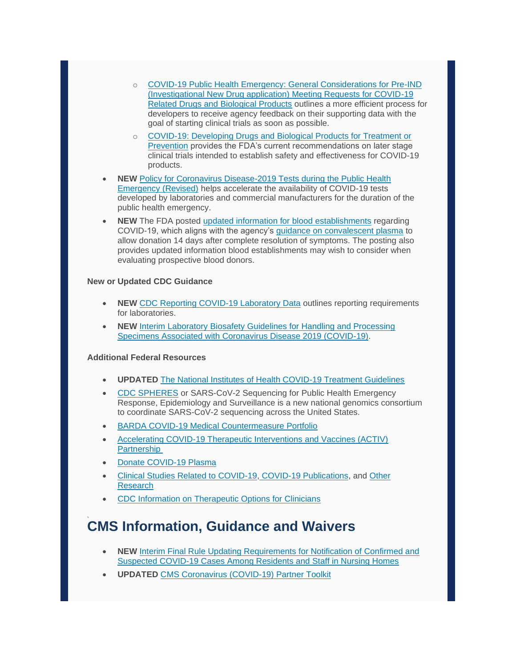- o [COVID-19 Public Health Emergency: General Considerations for Pre-IND](https://lnks.gd/l/eyJhbGciOiJIUzI1NiJ9.eyJidWxsZXRpbl9saW5rX2lkIjoxNDMsInVyaSI6ImJwMjpjbGljayIsImJ1bGxldGluX2lkIjoiMjAyMDA1MTUuMjE1ODY2NjEiLCJ1cmwiOiJodHRwczovL3d3dy5mZGEuZ292L3JlZ3VsYXRvcnktaW5mb3JtYXRpb24vc2VhcmNoLWZkYS1ndWlkYW5jZS1kb2N1bWVudHMvY292aWQtMTktcHVibGljLWhlYWx0aC1lbWVyZ2VuY3ktZ2VuZXJhbC1jb25zaWRlcmF0aW9ucy1wcmUtaW5kLW1lZXRpbmctcmVxdWVzdHMtY292aWQtMTktcmVsYXRlZCJ9.EhXUkznnQ-q3v2QinjEPGnvvQeFrzLFza1qlDjyaQQI/br/78722500727-l)  [\(Investigational New Drug application\) Meeting Requests for COVID-19](https://lnks.gd/l/eyJhbGciOiJIUzI1NiJ9.eyJidWxsZXRpbl9saW5rX2lkIjoxNDMsInVyaSI6ImJwMjpjbGljayIsImJ1bGxldGluX2lkIjoiMjAyMDA1MTUuMjE1ODY2NjEiLCJ1cmwiOiJodHRwczovL3d3dy5mZGEuZ292L3JlZ3VsYXRvcnktaW5mb3JtYXRpb24vc2VhcmNoLWZkYS1ndWlkYW5jZS1kb2N1bWVudHMvY292aWQtMTktcHVibGljLWhlYWx0aC1lbWVyZ2VuY3ktZ2VuZXJhbC1jb25zaWRlcmF0aW9ucy1wcmUtaW5kLW1lZXRpbmctcmVxdWVzdHMtY292aWQtMTktcmVsYXRlZCJ9.EhXUkznnQ-q3v2QinjEPGnvvQeFrzLFza1qlDjyaQQI/br/78722500727-l)  [Related Drugs and Biological Products](https://lnks.gd/l/eyJhbGciOiJIUzI1NiJ9.eyJidWxsZXRpbl9saW5rX2lkIjoxNDMsInVyaSI6ImJwMjpjbGljayIsImJ1bGxldGluX2lkIjoiMjAyMDA1MTUuMjE1ODY2NjEiLCJ1cmwiOiJodHRwczovL3d3dy5mZGEuZ292L3JlZ3VsYXRvcnktaW5mb3JtYXRpb24vc2VhcmNoLWZkYS1ndWlkYW5jZS1kb2N1bWVudHMvY292aWQtMTktcHVibGljLWhlYWx0aC1lbWVyZ2VuY3ktZ2VuZXJhbC1jb25zaWRlcmF0aW9ucy1wcmUtaW5kLW1lZXRpbmctcmVxdWVzdHMtY292aWQtMTktcmVsYXRlZCJ9.EhXUkznnQ-q3v2QinjEPGnvvQeFrzLFza1qlDjyaQQI/br/78722500727-l) outlines a more efficient process for developers to receive agency feedback on their supporting data with the goal of starting clinical trials as soon as possible.
- o [COVID-19: Developing Drugs and Biological Products for Treatment or](https://lnks.gd/l/eyJhbGciOiJIUzI1NiJ9.eyJidWxsZXRpbl9saW5rX2lkIjoxNDQsInVyaSI6ImJwMjpjbGljayIsImJ1bGxldGluX2lkIjoiMjAyMDA1MTUuMjE1ODY2NjEiLCJ1cmwiOiJodHRwczovL3d3dy5mZGEuZ292L3JlZ3VsYXRvcnktaW5mb3JtYXRpb24vc2VhcmNoLWZkYS1ndWlkYW5jZS1kb2N1bWVudHMvY292aWQtMTktZGV2ZWxvcGluZy1kcnVncy1hbmQtYmlvbG9naWNhbC1wcm9kdWN0cy10cmVhdG1lbnQtb3ItcHJldmVudGlvbiJ9.Ij-2bKqLfBzoSjCyhJhvtnzGKdRJinZsuoQxS7zIIhQ/br/78722500727-l)  [Prevention](https://lnks.gd/l/eyJhbGciOiJIUzI1NiJ9.eyJidWxsZXRpbl9saW5rX2lkIjoxNDQsInVyaSI6ImJwMjpjbGljayIsImJ1bGxldGluX2lkIjoiMjAyMDA1MTUuMjE1ODY2NjEiLCJ1cmwiOiJodHRwczovL3d3dy5mZGEuZ292L3JlZ3VsYXRvcnktaW5mb3JtYXRpb24vc2VhcmNoLWZkYS1ndWlkYW5jZS1kb2N1bWVudHMvY292aWQtMTktZGV2ZWxvcGluZy1kcnVncy1hbmQtYmlvbG9naWNhbC1wcm9kdWN0cy10cmVhdG1lbnQtb3ItcHJldmVudGlvbiJ9.Ij-2bKqLfBzoSjCyhJhvtnzGKdRJinZsuoQxS7zIIhQ/br/78722500727-l) provides the FDA's current recommendations on later stage clinical trials intended to establish safety and effectiveness for COVID-19 products.
- **NEW** Policy for Coronavirus Disease-2019 Tests during the Public Health [Emergency \(Revised\)](https://lnks.gd/l/eyJhbGciOiJIUzI1NiJ9.eyJidWxsZXRpbl9saW5rX2lkIjoxNDUsInVyaSI6ImJwMjpjbGljayIsImJ1bGxldGluX2lkIjoiMjAyMDA1MTUuMjE1ODY2NjEiLCJ1cmwiOiJodHRwczovL3Byb3RlY3QyLmZpcmVleWUuY29tL3VybD9rPWM0NTE3Yjg5LTk4MDQ3MjlhLWM0NTE0YWI2LTBjYzQ3YWRiNTY1MC0wMDg4ZDJmYmQxZmI4Y2YzJnU9aHR0cHM6Ly93d3cuZmRhLmdvdi9yZWd1bGF0b3J5LWluZm9ybWF0aW9uL3NlYXJjaC1mZGEtZ3VpZGFuY2UtZG9jdW1lbnRzL3BvbGljeS1jb3JvbmF2aXJ1cy1kaXNlYXNlLTIwMTktdGVzdHMtZHVyaW5nLXB1YmxpYy1oZWFsdGgtZW1lcmdlbmN5LXJldmlzZWQifQ.tiC8ME22ynpdQXXgzajX6nwe_9_MYZl3Au5NHvNtV5A/br/78722500727-l) helps accelerate the availability of COVID-19 tests developed by laboratories and commercial manufacturers for the duration of the public health emergency.
- **NEW** The FDA posted [updated information for blood establishments](https://lnks.gd/l/eyJhbGciOiJIUzI1NiJ9.eyJidWxsZXRpbl9saW5rX2lkIjoxNDYsInVyaSI6ImJwMjpjbGljayIsImJ1bGxldGluX2lkIjoiMjAyMDA1MTUuMjE1ODY2NjEiLCJ1cmwiOiJodHRwczovL3d3dy5mZGEuZ292L3ZhY2NpbmVzLWJsb29kLWJpb2xvZ2ljcy9zYWZldHktYXZhaWxhYmlsaXR5LWJpb2xvZ2ljcy91cGRhdGVkLWluZm9ybWF0aW9uLWJsb29kLWVzdGFibGlzaG1lbnRzLXJlZ2FyZGluZy1ub3ZlbC1jb3JvbmF2aXJ1cy1jb3ZpZC0xOS1vdXRicmVhayJ9.XiO_PTuMxmqh5Sd-QcNO9zUIt1YT_6ke6ifod4NAKvk/br/78722500727-l) regarding COVID-19, which aligns with the agency's [guidance on convalescent plasma](https://lnks.gd/l/eyJhbGciOiJIUzI1NiJ9.eyJidWxsZXRpbl9saW5rX2lkIjoxNDcsInVyaSI6ImJwMjpjbGljayIsImJ1bGxldGluX2lkIjoiMjAyMDA1MTUuMjE1ODY2NjEiLCJ1cmwiOiJodHRwczovL3d3dy5mZGEuZ292L21lZGlhLzEzNjc5OC9kb3dubG9hZCJ9.IetSWGvwggY_Vukf7VGqo96sFM2EvxgvvhDYcnqhmTk/br/78722500727-l) to allow donation 14 days after complete resolution of symptoms. The posting also provides updated information blood establishments may wish to consider when evaluating prospective blood donors.

#### **New or Updated CDC Guidance**

- **NEW** [CDC Reporting COVID-19 Laboratory Data](https://lnks.gd/l/eyJhbGciOiJIUzI1NiJ9.eyJidWxsZXRpbl9saW5rX2lkIjoxNDgsInVyaSI6ImJwMjpjbGljayIsImJ1bGxldGluX2lkIjoiMjAyMDA1MTUuMjE1ODY2NjEiLCJ1cmwiOiJodHRwczovL3Byb3RlY3QyLmZpcmVleWUuY29tL3VybD9rPTA1ZmU4MDE2LTU5YWI4OTA1LTA1ZmViMTI5LTBjYzQ3YWRiNTY1MC1hNWQ0ZTNlNjMxYzM4MDJkJnU9aHR0cHM6Ly93d3cuY2RjLmdvdi9jb3JvbmF2aXJ1cy8yMDE5LW5jb3YvbGFiL3JlcG9ydGluZy1sYWItZGF0YS5odG1sIn0.Ly1TrRCGZCnTkKKK8CAs6NlriCwdVTajnpcpbyD5ZcQ/br/78722500727-l) outlines reporting requirements for laboratories.
- **NEW** Interim [Laboratory Biosafety Guidelines for Handling and Processing](https://lnks.gd/l/eyJhbGciOiJIUzI1NiJ9.eyJidWxsZXRpbl9saW5rX2lkIjoxNDksInVyaSI6ImJwMjpjbGljayIsImJ1bGxldGluX2lkIjoiMjAyMDA1MTUuMjE1ODY2NjEiLCJ1cmwiOiJodHRwczovL3Byb3RlY3QyLmZpcmVleWUuY29tL3VybD9rPTRkMzVmMWMzLTExNjBmOGQwLTRkMzVjMGZjLTBjYzQ3YWRiNTY1MC1kMGIyMGM5Zjk1Mzc5NTM3JnU9aHR0cHM6Ly93d3cuY2RjLmdvdi9jb3JvbmF2aXJ1cy8yMDE5LW5Db1YvbGFiL2xhYi1iaW9zYWZldHktZ3VpZGVsaW5lcy5odG1sIn0.Tkd4fuY1P-aNQaShEtiN3R0AxID0N4P0rU8KaOf2aFI/br/78722500727-l)  [Specimens Associated with Coronavirus Disease 2019 \(COVID-19\).](https://lnks.gd/l/eyJhbGciOiJIUzI1NiJ9.eyJidWxsZXRpbl9saW5rX2lkIjoxNDksInVyaSI6ImJwMjpjbGljayIsImJ1bGxldGluX2lkIjoiMjAyMDA1MTUuMjE1ODY2NjEiLCJ1cmwiOiJodHRwczovL3Byb3RlY3QyLmZpcmVleWUuY29tL3VybD9rPTRkMzVmMWMzLTExNjBmOGQwLTRkMzVjMGZjLTBjYzQ3YWRiNTY1MC1kMGIyMGM5Zjk1Mzc5NTM3JnU9aHR0cHM6Ly93d3cuY2RjLmdvdi9jb3JvbmF2aXJ1cy8yMDE5LW5Db1YvbGFiL2xhYi1iaW9zYWZldHktZ3VpZGVsaW5lcy5odG1sIn0.Tkd4fuY1P-aNQaShEtiN3R0AxID0N4P0rU8KaOf2aFI/br/78722500727-l)

#### **Additional Federal Resources**

- **UPDATED** [The National Institutes of Health COVID-19 Treatment Guidelines](https://lnks.gd/l/eyJhbGciOiJIUzI1NiJ9.eyJidWxsZXRpbl9saW5rX2lkIjoxNTAsInVyaSI6ImJwMjpjbGljayIsImJ1bGxldGluX2lkIjoiMjAyMDA1MTUuMjE1ODY2NjEiLCJ1cmwiOiJodHRwczovL2NvdmlkMTl0cmVhdG1lbnRndWlkZWxpbmVzLm5paC5nb3YvaW50cm9kdWN0aW9uLyJ9.-UTLTbzR3_xzV3fGpWdXnXLAyGEkZjVcmVosm8v0z9A/br/78722500727-l)
- [CDC SPHERES](https://lnks.gd/l/eyJhbGciOiJIUzI1NiJ9.eyJidWxsZXRpbl9saW5rX2lkIjoxNTEsInVyaSI6ImJwMjpjbGljayIsImJ1bGxldGluX2lkIjoiMjAyMDA1MTUuMjE1ODY2NjEiLCJ1cmwiOiJodHRwczovL3d3dy5jZGMuZ292L2Nvcm9uYXZpcnVzLzIwMTktbmNvdi9jYXNlcy11cGRhdGVzL3NwaGVyZXMuaHRtbCJ9.g06hMejoKLwYcWGtdcr7N9Uw33DDWqJVUcHlAi7jRIA/br/78722500727-l) or SARS-CoV-2 Sequencing for Public Health Emergency Response, Epidemiology and Surveillance is a new national genomics consortium to coordinate SARS-CoV-2 sequencing across the United States.
- **BARDA [COVID-19 Medical Countermeasure Portfolio](https://lnks.gd/l/eyJhbGciOiJIUzI1NiJ9.eyJidWxsZXRpbl9saW5rX2lkIjoxNTIsInVyaSI6ImJwMjpjbGljayIsImJ1bGxldGluX2lkIjoiMjAyMDA1MTUuMjE1ODY2NjEiLCJ1cmwiOiJodHRwczovL3Byb3RlY3QyLmZpcmVleWUuY29tL3VybD9rPTgyYWJlNzg4LWRlZmVlZTU4LTgyYWJkNmI3LTBjYzQ3YTZhNTJkZS1kMDk3ZmYwYjNjNWU3ODc5JnU9aHR0cHM6Ly93d3cubWVkaWNhbGNvdW50ZXJtZWFzdXJlcy5nb3YvYXBwL2JhcmRhL2Nvcm9uYXZpcnVzL0NPVklEMTkuYXNweCJ9.C2Oj6N-uNnGKRSWn7W4IgTAG08p9Zn8j5iuqc1-nKXY/br/78722500727-l)**
- [Accelerating COVID-19 Therapeutic Interventions and Vaccines \(ACTIV\)](https://lnks.gd/l/eyJhbGciOiJIUzI1NiJ9.eyJidWxsZXRpbl9saW5rX2lkIjoxNTMsInVyaSI6ImJwMjpjbGljayIsImJ1bGxldGluX2lkIjoiMjAyMDA1MTUuMjE1ODY2NjEiLCJ1cmwiOiJodHRwczovL3Byb3RlY3QyLmZpcmVleWUuY29tL3VybD9rPTM5YTI2MjhlLTY1ZjY3YmYyLTM5YTI1M2IxLTBjYzQ3YWRjNWZhMi05ODY1ZTc1NDZhMmUyY2ZmJnU9aHR0cHM6Ly93d3cubmloLmdvdi9uZXdzLWV2ZW50cy9uZXdzLXJlbGVhc2VzL25paC1sYXVuY2gtcHVibGljLXByaXZhdGUtcGFydG5lcnNoaXAtc3BlZWQtY292aWQtMTktdmFjY2luZS10cmVhdG1lbnQtb3B0aW9ucyJ9.otqyjGEcxlnB9JlDrv886OoZ0xhRRmlk8IphAKIOBUk/br/78722500727-l)  **[Partnership](https://lnks.gd/l/eyJhbGciOiJIUzI1NiJ9.eyJidWxsZXRpbl9saW5rX2lkIjoxNTMsInVyaSI6ImJwMjpjbGljayIsImJ1bGxldGluX2lkIjoiMjAyMDA1MTUuMjE1ODY2NjEiLCJ1cmwiOiJodHRwczovL3Byb3RlY3QyLmZpcmVleWUuY29tL3VybD9rPTM5YTI2MjhlLTY1ZjY3YmYyLTM5YTI1M2IxLTBjYzQ3YWRjNWZhMi05ODY1ZTc1NDZhMmUyY2ZmJnU9aHR0cHM6Ly93d3cubmloLmdvdi9uZXdzLWV2ZW50cy9uZXdzLXJlbGVhc2VzL25paC1sYXVuY2gtcHVibGljLXByaXZhdGUtcGFydG5lcnNoaXAtc3BlZWQtY292aWQtMTktdmFjY2luZS10cmVhdG1lbnQtb3B0aW9ucyJ9.otqyjGEcxlnB9JlDrv886OoZ0xhRRmlk8IphAKIOBUk/br/78722500727-l)**
- [Donate COVID-19 Plasma](https://lnks.gd/l/eyJhbGciOiJIUzI1NiJ9.eyJidWxsZXRpbl9saW5rX2lkIjoxNTQsInVyaSI6ImJwMjpjbGljayIsImJ1bGxldGluX2lkIjoiMjAyMDA1MTUuMjE1ODY2NjEiLCJ1cmwiOiJodHRwczovL3d3dy5mZGEuZ292L2VtZXJnZW5jeS1wcmVwYXJlZG5lc3MtYW5kLXJlc3BvbnNlL2Nvcm9uYXZpcnVzLWRpc2Vhc2UtMjAxOS1jb3ZpZC0xOS9kb25hdGUtY292aWQtMTktcGxhc21hIn0.h7mojq3-dG73FSv4jys2moZMe7OrSpe_LiHgbCYJiK4/br/78722500727-l)
- [Clinical Studies Related to COVID-19,](https://lnks.gd/l/eyJhbGciOiJIUzI1NiJ9.eyJidWxsZXRpbl9saW5rX2lkIjoxNTUsInVyaSI6ImJwMjpjbGljayIsImJ1bGxldGluX2lkIjoiMjAyMDA1MTUuMjE1ODY2NjEiLCJ1cmwiOiJodHRwczovL3d3dy5jbGluaWNhbHRyaWFscy5nb3YvY3QyL3Jlc3VsdHM_Y29uZD1DT1ZJRC0xOSJ9.KtZTi1ZKMb8EvE1ABvqP2J8dqxqdKocrQvZW7AFdxxo/br/78722500727-l) [COVID-19 Publications,](https://lnks.gd/l/eyJhbGciOiJIUzI1NiJ9.eyJidWxsZXRpbl9saW5rX2lkIjoxNTYsInVyaSI6ImJwMjpjbGljayIsImJ1bGxldGluX2lkIjoiMjAyMDA1MTUuMjE1ODY2NjEiLCJ1cmwiOiJodHRwczovL3d3dy5jZGMuZ292L2Nvcm9uYXZpcnVzLzIwMTktbmNvdi9jb21tdW5pY2F0aW9uL3B1YmxpY2F0aW9ucy5odG1sIn0.XciLcHvLP8WwrCQjNE-ceOmA4z-KYKveof_NjS_-WNo/br/78722500727-l) and [Other](https://lnks.gd/l/eyJhbGciOiJIUzI1NiJ9.eyJidWxsZXRpbl9saW5rX2lkIjoxNTcsInVyaSI6ImJwMjpjbGljayIsImJ1bGxldGluX2lkIjoiMjAyMDA1MTUuMjE1ODY2NjEiLCJ1cmwiOiJodHRwczovL3d3dy5uaWguZ292L2hlYWx0aC1pbmZvcm1hdGlvbi9jb3JvbmF2aXJ1cyJ9.kzlwXH-0DLvJpauTsP-FP3mAklDXXLqlkDFFC1V9L9w/br/78722500727-l)  [Research](https://lnks.gd/l/eyJhbGciOiJIUzI1NiJ9.eyJidWxsZXRpbl9saW5rX2lkIjoxNTcsInVyaSI6ImJwMjpjbGljayIsImJ1bGxldGluX2lkIjoiMjAyMDA1MTUuMjE1ODY2NjEiLCJ1cmwiOiJodHRwczovL3d3dy5uaWguZ292L2hlYWx0aC1pbmZvcm1hdGlvbi9jb3JvbmF2aXJ1cyJ9.kzlwXH-0DLvJpauTsP-FP3mAklDXXLqlkDFFC1V9L9w/br/78722500727-l)
- [CDC Information on Therapeutic Options for Clinicians](https://lnks.gd/l/eyJhbGciOiJIUzI1NiJ9.eyJidWxsZXRpbl9saW5rX2lkIjoxNTgsInVyaSI6ImJwMjpjbGljayIsImJ1bGxldGluX2lkIjoiMjAyMDA1MTUuMjE1ODY2NjEiLCJ1cmwiOiJodHRwczovL3d3dy5jZGMuZ292L2Nvcm9uYXZpcnVzLzIwMTktbmNvdi9oY3AvdGhlcmFwZXV0aWMtb3B0aW9ucy5odG1sIn0.2Qz-4pKIm8hEp_Quxy1dQQKNMoRkhLoe_Eg5A9ckr_Y/br/78722500727-l)

# **CMS Information, Guidance and Waivers**

- **NEW** [I](https://lnks.gd/l/eyJhbGciOiJIUzI1NiJ9.eyJidWxsZXRpbl9saW5rX2lkIjoxNTksInVyaSI6ImJwMjpjbGljayIsImJ1bGxldGluX2lkIjoiMjAyMDA1MTUuMjE1ODY2NjEiLCJ1cmwiOiJodHRwczovL3d3dy5jbXMuZ292L2ZpbGVzL2RvY3VtZW50L3Fzby0yMC0yOS1uaC5wZGYifQ.QcTXOVsTt97ZXcwF4VYdVd3BqhVVqIBCn6y5nP5nRPE/br/78722500727-l)[nterim Final Rule Updating Requirements for Notification of Confirmed and](https://lnks.gd/l/eyJhbGciOiJIUzI1NiJ9.eyJidWxsZXRpbl9saW5rX2lkIjoxNjAsInVyaSI6ImJwMjpjbGljayIsImJ1bGxldGluX2lkIjoiMjAyMDA1MTUuMjE1ODY2NjEiLCJ1cmwiOiJodHRwczovL3d3dy5jbXMuZ292L2ZpbGVzL2RvY3VtZW50L3Fzby0yMC0yOS1uaC5wZGYifQ.JbAmhji3lihgi2zfD2MBkyQefvRyJtkKgTIBBhNz_YU/br/78722500727-l)  [Suspected COVID-19 Cases Among Residents and Staff in Nursing Homes](https://lnks.gd/l/eyJhbGciOiJIUzI1NiJ9.eyJidWxsZXRpbl9saW5rX2lkIjoxNjAsInVyaSI6ImJwMjpjbGljayIsImJ1bGxldGluX2lkIjoiMjAyMDA1MTUuMjE1ODY2NjEiLCJ1cmwiOiJodHRwczovL3d3dy5jbXMuZ292L2ZpbGVzL2RvY3VtZW50L3Fzby0yMC0yOS1uaC5wZGYifQ.JbAmhji3lihgi2zfD2MBkyQefvRyJtkKgTIBBhNz_YU/br/78722500727-l)
- **UPDATED** [CMS Coronavirus \(COVID-19\) Partner Toolkit](https://lnks.gd/l/eyJhbGciOiJIUzI1NiJ9.eyJidWxsZXRpbl9saW5rX2lkIjoxNjEsInVyaSI6ImJwMjpjbGljayIsImJ1bGxldGluX2lkIjoiMjAyMDA1MTUuMjE1ODY2NjEiLCJ1cmwiOiJodHRwczovL3Byb3RlY3QyLmZpcmVleWUuY29tL3VybD9rPTZkNGU4NGVhLTMxMWI4ZDNhLTZkNGViNWQ1LTBjYzQ3YTZhNTJkZS1mNTA3NWUxMTgyNTg4NzI0JnU9aHR0cHM6Ly93d3cuY21zLmdvdi9vdXRyZWFjaC1lZHVjYXRpb24vcGFydG5lci1yZXNvdXJjZXMvY29yb25hdmlydXMtY292aWQtMTktcGFydG5lci10b29sa2l0In0.0Z_mT_7TizKG-OdX2RdezD3WW0VKqA5gMCjrF8gXe0k/br/78722500727-l)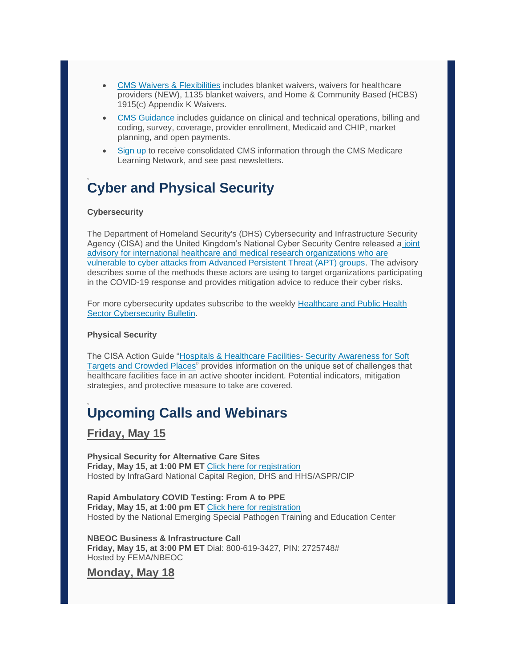- [CMS Waivers & Flexibilities](https://lnks.gd/l/eyJhbGciOiJIUzI1NiJ9.eyJidWxsZXRpbl9saW5rX2lkIjoxNjIsInVyaSI6ImJwMjpjbGljayIsImJ1bGxldGluX2lkIjoiMjAyMDA1MTUuMjE1ODY2NjEiLCJ1cmwiOiJodHRwczovL3Byb3RlY3QyLmZpcmVleWUuY29tL3VybD9rPTNkYjNjYTY2LTYxZTZjM2I2LTNkYjNmYjU5LTBjYzQ3YTZhNTJkZS02MmMzNDYyYTkxMzJiNjM5JnU9aHR0cHM6Ly93d3cuY21zLmdvdi9hYm91dC1jbXMvZW1lcmdlbmN5LXByZXBhcmVkbmVzcy1yZXNwb25zZS1vcGVyYXRpb25zL2N1cnJlbnQtZW1lcmdlbmNpZXMvY29yb25hdmlydXMtd2FpdmVycyJ9.IUmlykxMvXjt8aS2MDepCVMVmpFmuCvnuzP6vbdC-Tg/br/78722500727-l) includes blanket waivers, waivers for healthcare providers (NEW), 1135 blanket waivers, and Home & Community Based (HCBS) 1915(c) Appendix K Waivers.
- [CMS Guidance](https://lnks.gd/l/eyJhbGciOiJIUzI1NiJ9.eyJidWxsZXRpbl9saW5rX2lkIjoxNjMsInVyaSI6ImJwMjpjbGljayIsImJ1bGxldGluX2lkIjoiMjAyMDA1MTUuMjE1ODY2NjEiLCJ1cmwiOiJodHRwczovL3Byb3RlY3QyLmZpcmVleWUuY29tL3VybD9rPTZjZDhkMDA3LTMwOGRkOWQ3LTZjZDhlMTM4LTBjYzQ3YTZhNTJkZS01ZmYyMjA5OTU5MTQyOTUwJnU9aHR0cHM6Ly93d3cuY21zLmdvdi9BYm91dC1DTVMvQWdlbmN5LUluZm9ybWF0aW9uL0VtZXJnZW5jeS9FUFJPL0N1cnJlbnQtRW1lcmdlbmNpZXMvQ3VycmVudC1FbWVyZ2VuY2llcy1wYWdlIn0.3ozv2xAtxYwTglmcB7YHxS9RJQ6yr5VFyAT92f3JeXc/br/78722500727-l) includes guidance on clinical and technical operations, billing and coding, survey, coverage, provider enrollment, Medicaid and CHIP, market planning, and open payments.
- [Sign up](https://lnks.gd/l/eyJhbGciOiJIUzI1NiJ9.eyJidWxsZXRpbl9saW5rX2lkIjoxNjQsInVyaSI6ImJwMjpjbGljayIsImJ1bGxldGluX2lkIjoiMjAyMDA1MTUuMjE1ODY2NjEiLCJ1cmwiOiJodHRwczovL3Byb3RlY3QyLmZpcmVleWUuY29tL3VybD9rPWYxZjU2YWRjLWFkYTA2MzBjLWYxZjU1YmUzLTBjYzQ3YTZhNTJkZS01MGZkZjQ3ODM1MDNjZGIzJnU9aHR0cHM6Ly93d3cuY21zLmdvdi9PdXRyZWFjaC1hbmQtRWR1Y2F0aW9uL091dHJlYWNoL0ZGU1Byb3ZQYXJ0UHJvZy9Qcm92aWRlci1QYXJ0bmVyc2hpcC1FbWFpbC1BcmNoaXZlIn0.ZOHhctM18xlmWdo4Oig-bBBwNewDEhDK0xlrSUk_wjo/br/78722500727-l) to receive consolidated CMS information through the CMS Medicare Learning Network, and see past newsletters.

# **Cyber and Physical Security**

### **Cybersecurity**

The Department of Homeland Security's (DHS) Cybersecurity and Infrastructure Security Agency (CISA) and the United Kingdom's National Cyber Security Centre released a [joint](https://lnks.gd/l/eyJhbGciOiJIUzI1NiJ9.eyJidWxsZXRpbl9saW5rX2lkIjoxNjUsInVyaSI6ImJwMjpjbGljayIsImJ1bGxldGluX2lkIjoiMjAyMDA1MTUuMjE1ODY2NjEiLCJ1cmwiOiJodHRwczovL3d3dy51cy1jZXJ0Lmdvdi9uY2FzL2FsZXJ0cy9BQTIwMTI2QSJ9.eKRsjl0Sg5YQBP0lsoc8h6tm5vSFUg5y3lSQ78oJ68g/br/78722500727-l)  [advisory for international healthcare and medical research organizations who are](https://lnks.gd/l/eyJhbGciOiJIUzI1NiJ9.eyJidWxsZXRpbl9saW5rX2lkIjoxNjUsInVyaSI6ImJwMjpjbGljayIsImJ1bGxldGluX2lkIjoiMjAyMDA1MTUuMjE1ODY2NjEiLCJ1cmwiOiJodHRwczovL3d3dy51cy1jZXJ0Lmdvdi9uY2FzL2FsZXJ0cy9BQTIwMTI2QSJ9.eKRsjl0Sg5YQBP0lsoc8h6tm5vSFUg5y3lSQ78oJ68g/br/78722500727-l)  [vulnerable to cyber attacks from Advanced Persistent Threat \(APT\) groups.](https://lnks.gd/l/eyJhbGciOiJIUzI1NiJ9.eyJidWxsZXRpbl9saW5rX2lkIjoxNjUsInVyaSI6ImJwMjpjbGljayIsImJ1bGxldGluX2lkIjoiMjAyMDA1MTUuMjE1ODY2NjEiLCJ1cmwiOiJodHRwczovL3d3dy51cy1jZXJ0Lmdvdi9uY2FzL2FsZXJ0cy9BQTIwMTI2QSJ9.eKRsjl0Sg5YQBP0lsoc8h6tm5vSFUg5y3lSQ78oJ68g/br/78722500727-l) The advisory describes some of the methods these actors are using to target organizations participating in the COVID-19 response and provides mitigation advice to reduce their cyber risks.

For more cybersecurity updates subscribe to the weekly [Healthcare and Public Health](https://lnks.gd/l/eyJhbGciOiJIUzI1NiJ9.eyJidWxsZXRpbl9saW5rX2lkIjoxNjYsInVyaSI6ImJwMjpjbGljayIsImJ1bGxldGluX2lkIjoiMjAyMDA1MTUuMjE1ODY2NjEiLCJ1cmwiOiJodHRwczovL3d3dy5waGUuZ292L1ByZXBhcmVkbmVzcy9wbGFubmluZy9jaXAvUGFnZXMvQ0lQSW5xdWlyeS5hc3B4In0.zVf9bZzTZTQcO5QVPcWz8d5p9nLhqzDzXPC7jSaGXfY/br/78722500727-l)  [Sector Cybersecurity Bulletin.](https://lnks.gd/l/eyJhbGciOiJIUzI1NiJ9.eyJidWxsZXRpbl9saW5rX2lkIjoxNjYsInVyaSI6ImJwMjpjbGljayIsImJ1bGxldGluX2lkIjoiMjAyMDA1MTUuMjE1ODY2NjEiLCJ1cmwiOiJodHRwczovL3d3dy5waGUuZ292L1ByZXBhcmVkbmVzcy9wbGFubmluZy9jaXAvUGFnZXMvQ0lQSW5xdWlyeS5hc3B4In0.zVf9bZzTZTQcO5QVPcWz8d5p9nLhqzDzXPC7jSaGXfY/br/78722500727-l)

#### **Physical Security**

The CISA Action Guide ["Hospitals & Healthcare Facilities-](https://lnks.gd/l/eyJhbGciOiJIUzI1NiJ9.eyJidWxsZXRpbl9saW5rX2lkIjoxNjcsInVyaSI6ImJwMjpjbGljayIsImJ1bGxldGluX2lkIjoiMjAyMDA1MTUuMjE1ODY2NjEiLCJ1cmwiOiJodHRwczovL3d3dy5jaXNhLmdvdi9zaXRlcy9kZWZhdWx0L2ZpbGVzL3B1YmxpY2F0aW9ucy8xOV8wNTE1X2Npc2FfYWN0aW9uLWd1aWRlLWhvc3BpdGFscy1hbmQtaGVhbHRoY2FyZS5wZGYifQ.DSXSqDOD1vAeu_-AosYD72LjMh4kdxs7wrQCy4ahOKI/br/78722500727-l) Security Awareness for Soft [Targets and Crowded Places"](https://lnks.gd/l/eyJhbGciOiJIUzI1NiJ9.eyJidWxsZXRpbl9saW5rX2lkIjoxNjcsInVyaSI6ImJwMjpjbGljayIsImJ1bGxldGluX2lkIjoiMjAyMDA1MTUuMjE1ODY2NjEiLCJ1cmwiOiJodHRwczovL3d3dy5jaXNhLmdvdi9zaXRlcy9kZWZhdWx0L2ZpbGVzL3B1YmxpY2F0aW9ucy8xOV8wNTE1X2Npc2FfYWN0aW9uLWd1aWRlLWhvc3BpdGFscy1hbmQtaGVhbHRoY2FyZS5wZGYifQ.DSXSqDOD1vAeu_-AosYD72LjMh4kdxs7wrQCy4ahOKI/br/78722500727-l) provides information on the unique set of challenges that healthcare facilities face in an active shooter incident. Potential indicators, mitigation strategies, and protective measure to take are covered.

# **Upcoming Calls and Webinars**

### **Friday, May 15**

**Physical Security for Alternative Care Sites Friday, May 15, at 1:00 PM ET** [Click here for registration](https://lnks.gd/l/eyJhbGciOiJIUzI1NiJ9.eyJidWxsZXRpbl9saW5rX2lkIjoxNjgsInVyaSI6ImJwMjpjbGljayIsImJ1bGxldGluX2lkIjoiMjAyMDA1MTUuMjE1ODY2NjEiLCJ1cmwiOiJodHRwczovL3JlZ2lzdGVyLmdvdG93ZWJpbmFyLmNvbS9yZWdpc3Rlci8zNzI5NTk2NjI0ODExNDE5NDAzIn0.622vLM9XcLPeFIYVSINL2HvfSV6qZG4kQJHR6sIJbPU/br/78722500727-l) Hosted by InfraGard National Capital Region, DHS and HHS/ASPR/CIP

**Rapid Ambulatory COVID Testing: From A to PPE Friday, May 15, at 1:00 pm ET** [Click here for registration](https://lnks.gd/l/eyJhbGciOiJIUzI1NiJ9.eyJidWxsZXRpbl9saW5rX2lkIjoxNjksInVyaSI6ImJwMjpjbGljayIsImJ1bGxldGluX2lkIjoiMjAyMDA1MTUuMjE1ODY2NjEiLCJ1cmwiOiJodHRwczovL3VubWMuem9vbS51cy93ZWJpbmFyL3JlZ2lzdGVyL1dOXzA5QWY3SG8tUWtLbVd6VTVpekxkbkEifQ.ogUCuV7U5PSd1eTXgSDR3HulYW5Rgz5Ar7rKiOK3f9A/br/78722500727-l) Hosted by the National Emerging Special Pathogen Training and Education Center

**NBEOC Business & Infrastructure Call Friday, May 15, at 3:00 PM ET** Dial: 800-619-3427, PIN: 2725748# Hosted by FEMA/NBEOC

### **Monday, May 18**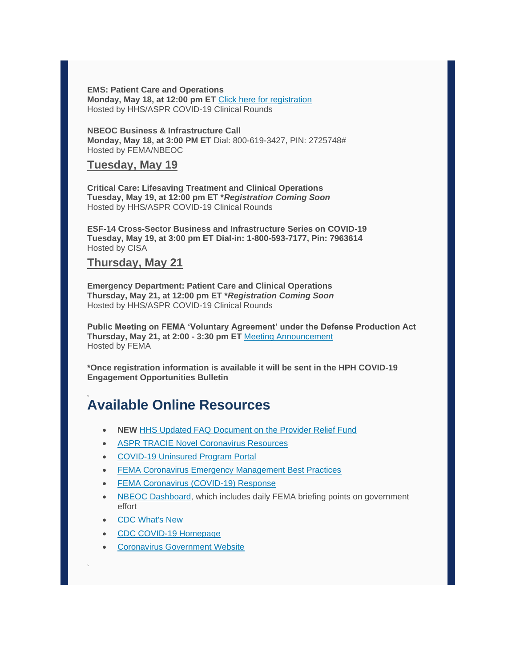**EMS: Patient Care and Operations Monday, May 18, at 12:00 pm ET** [Click here for registration](https://lnks.gd/l/eyJhbGciOiJIUzI1NiJ9.eyJidWxsZXRpbl9saW5rX2lkIjoxNzAsInVyaSI6ImJwMjpjbGljayIsImJ1bGxldGluX2lkIjoiMjAyMDA1MTUuMjE1ODY2NjEiLCJ1cmwiOiJodHRwczovL3Byb3RlY3QyLmZpcmVleWUuY29tL3VybD9rPTI4YTYyNzY2LTc0ZjMyZWI2LTI4YTYxNjU5LTBjYzQ3YTZhNTJkZS02MDE0ZTEyZmM4YjJhODEyJnU9aHR0cHM6Ly91bm0udXMxNS5saXN0LW1hbmFnZS5jb20vdHJhY2svY2xpY2s_dT0wYTc1NzA0ZWY2ODE2ZDg2YTY0ZDVhMWIxJmlkPWE4MTNjODhiMDEmZT1mMDdmMWJmYzRjIn0.pUZyrh_s6_HuX6blcgHEs6Yi9odD4DD4n2770qc58Co/br/78722500727-l) Hosted by HHS/ASPR COVID-19 Clinical Rounds

**NBEOC Business & Infrastructure Call Monday, May 18, at 3:00 PM ET** Dial: 800-619-3427, PIN: 2725748# Hosted by FEMA/NBEOC

### **Tuesday, May 19**

**Critical Care: Lifesaving Treatment and Clinical Operations Tuesday, May 19, at 12:00 pm ET \****Registration Coming Soon* Hosted by HHS/ASPR COVID-19 Clinical Rounds

**ESF-14 Cross-Sector Business and Infrastructure Series on COVID-19 Tuesday, May 19, at 3:00 pm ET Dial-in: 1-800-593-7177, Pin: 7963614** Hosted by CISA

### **Thursday, May 21**

**Emergency Department: Patient Care and Clinical Operations Thursday, May 21, at 12:00 pm ET \****Registration Coming Soon* Hosted by HHS/ASPR COVID-19 Clinical Rounds

**Public Meeting on FEMA 'Voluntary Agreement' under the Defense Production Act Thursday, May 21, at 2:00 - 3:30 pm ET** [Meeting Announcement](https://lnks.gd/l/eyJhbGciOiJIUzI1NiJ9.eyJidWxsZXRpbl9saW5rX2lkIjoxNzEsInVyaSI6ImJwMjpjbGljayIsImJ1bGxldGluX2lkIjoiMjAyMDA1MTUuMjE1ODY2NjEiLCJ1cmwiOiJodHRwczovL3d3dy5mZWRlcmFscmVnaXN0ZXIuZ292L2RvY3VtZW50cy8yMDIwLzA1LzEyLzIwMjAtMTAyMjEvbWVldGluZy10by1kZXZlbG9wLXBhbmRlbWljLXJlc3BvbnNlLXZvbHVudGFyeS1hZ3JlZW1lbnQifQ.CaezQrNox351oiXY94AdInbZwVY-2p-EvOr0DTUKS60/br/78722500727-l) Hosted by FEMA

**\*Once registration information is available it will be sent in the HPH COVID-19 Engagement Opportunities Bulletin**

### **Available Online Resources**

- **NEW** [HHS Updated FAQ Document on the Provider Relief Fund](https://lnks.gd/l/eyJhbGciOiJIUzI1NiJ9.eyJidWxsZXRpbl9saW5rX2lkIjoxNzIsInVyaSI6ImJwMjpjbGljayIsImJ1bGxldGluX2lkIjoiMjAyMDA1MTUuMjE1ODY2NjEiLCJ1cmwiOiJodHRwczovL3d3dy5oaHMuZ292L3NpdGVzL2RlZmF1bHQvZmlsZXMvcHJvdmlkZXItcmVsaWVmLWZ1bmQtZ2VuZXJhbC1kaXN0cmlidXRpb24tZmFxcy5wZGYifQ.8ZCRnXbHpHQXAfL5KR8AI7pADvW5a4ItFDnHpde0uvg/br/78722500727-l)
- [ASPR TRACIE Novel Coronavirus Resources](https://lnks.gd/l/eyJhbGciOiJIUzI1NiJ9.eyJidWxsZXRpbl9saW5rX2lkIjoxNzMsInVyaSI6ImJwMjpjbGljayIsImJ1bGxldGluX2lkIjoiMjAyMDA1MTUuMjE1ODY2NjEiLCJ1cmwiOiJodHRwczovL2FzcHJ0cmFjaWUuaGhzLmdvdi9DT1ZJRC0xOSJ9.dDcplGOV31V70vdwX08mzJ1FVOn1QQvjVvrx-EuQhOA/br/78722500727-l)
- [COVID-19 Uninsured](https://lnks.gd/l/eyJhbGciOiJIUzI1NiJ9.eyJidWxsZXRpbl9saW5rX2lkIjoxNzQsInVyaSI6ImJwMjpjbGljayIsImJ1bGxldGluX2lkIjoiMjAyMDA1MTUuMjE1ODY2NjEiLCJ1cmwiOiJodHRwczovL3Byb3RlY3QyLmZpcmVleWUuY29tL3VybD9rPTg4YjE2NzFmLWQ0ZTU3ZTYzLTg4YjE1NjIwLTBjYzQ3YWRjNWZhMi04MDNjYTVjZjhhYjRmZTJiJnU9aHR0cHM6Ly93d3cuaHJzYS5nb3YvY292aWR1bmluc3VyZWRjbGFpbSJ9.V1LD-Q4GOtYfRVi99quytsyUZpgJNMVSJp62Ft5kFL0/br/78722500727-l) Program Portal
- [FEMA Coronavirus Emergency Management Best Practices](https://lnks.gd/l/eyJhbGciOiJIUzI1NiJ9.eyJidWxsZXRpbl9saW5rX2lkIjoxNzUsInVyaSI6ImJwMjpjbGljayIsImJ1bGxldGluX2lkIjoiMjAyMDA1MTUuMjE1ODY2NjEiLCJ1cmwiOiJodHRwczovL2xua3MuZ2QvbC9leUpoYkdjaU9pSklVekkxTmlKOS5leUppZFd4c1pYUnBibDlzYVc1clgybGtJam94TURBc0luVnlhU0k2SW1Kd01qcGpiR2xqYXlJc0ltSjFiR3hsZEdsdVgybGtJam9pTWpBeU1EQTBNVGt1TWpBek5UY3pNVEVpTENKMWNtd2lPaUpvZEhSd2N6b3ZMM2QzZHk1bVpXMWhMbWR2ZGk5amIzSnZibUYyYVhKMWN5OWlaWE4wTFhCeVlXTjBhV05sY3lKOS5EMnQwaDNQQy1fOGdEOXhHSmZvbVVUS2hoczB2SU9QSnNoclZyWFdSTExRL2JyLzc3NTk1Nzg1OTQ4LWwifQ.XrhObn2GEZUh4-ormb7fD8fkfB20ltmOUHqcPfD0tiI/br/78722500727-l)
- FEMA Coronavirus [\(COVID-19\) Response](https://lnks.gd/l/eyJhbGciOiJIUzI1NiJ9.eyJidWxsZXRpbl9saW5rX2lkIjoxNzYsInVyaSI6ImJwMjpjbGljayIsImJ1bGxldGluX2lkIjoiMjAyMDA1MTUuMjE1ODY2NjEiLCJ1cmwiOiJodHRwczovL3d3dy5mZW1hLmdvdi9jb3JvbmF2aXJ1cyJ9.EeDQw2CAqv79YiyFXmdIFCJSbi_ivfP_ZaQb322-c3c/br/78722500727-l)
- [NBEOC Dashboard,](https://lnks.gd/l/eyJhbGciOiJIUzI1NiJ9.eyJidWxsZXRpbl9saW5rX2lkIjoxNzcsInVyaSI6ImJwMjpjbGljayIsImJ1bGxldGluX2lkIjoiMjAyMDA1MTUuMjE1ODY2NjEiLCJ1cmwiOiJodHRwczovL2ZlbWEuY29ubmVjdHNvbHV0aW9ucy5jb20vbmJlb2M_cHJvdG89dHJ1ZSJ9.vtfcwdTWCCu2VVSAMtHCnIlCOengkoeLkTkimEE3VKA/br/78722500727-l) which includes daily FEMA briefing points on government effort
- [CDC What's New](https://lnks.gd/l/eyJhbGciOiJIUzI1NiJ9.eyJidWxsZXRpbl9saW5rX2lkIjoxNzgsInVyaSI6ImJwMjpjbGljayIsImJ1bGxldGluX2lkIjoiMjAyMDA1MTUuMjE1ODY2NjEiLCJ1cmwiOiJodHRwczovL3d3dy5jZGMuZ292L2Nvcm9uYXZpcnVzLzIwMTktbmNvdi93aGF0cy1uZXctYWxsLmh0bWwifQ.llPVT6YiFp4VIig7Glxof8h4g-CzQUEx9XwrTI2WfzI/br/78722500727-l)
- [CDC COVID-19 Homepage](https://lnks.gd/l/eyJhbGciOiJIUzI1NiJ9.eyJidWxsZXRpbl9saW5rX2lkIjoxNzksInVyaSI6ImJwMjpjbGljayIsImJ1bGxldGluX2lkIjoiMjAyMDA1MTUuMjE1ODY2NjEiLCJ1cmwiOiJodHRwczovL3d3dy5jZGMuZ292L2Nvcm9uYXZpcnVzLzIwMTktbmNvdi9pbmRleC5odG1sIn0.v3POuhl1gndcgYfAa5P-eWpjWRVHjcf3XwtmW6YUiFM/br/78722500727-l)
- **[Coronavirus Government](https://lnks.gd/l/eyJhbGciOiJIUzI1NiJ9.eyJidWxsZXRpbl9saW5rX2lkIjoxODAsInVyaSI6ImJwMjpjbGljayIsImJ1bGxldGluX2lkIjoiMjAyMDA1MTUuMjE1ODY2NjEiLCJ1cmwiOiJodHRwczovL3d3dy5jb3JvbmF2aXJ1cy5nb3YvIn0.Ob0PqDcxXfpQRNeyLnXUeU_cs8e9hEA6gp4n7aENduo/br/78722500727-l) Website**